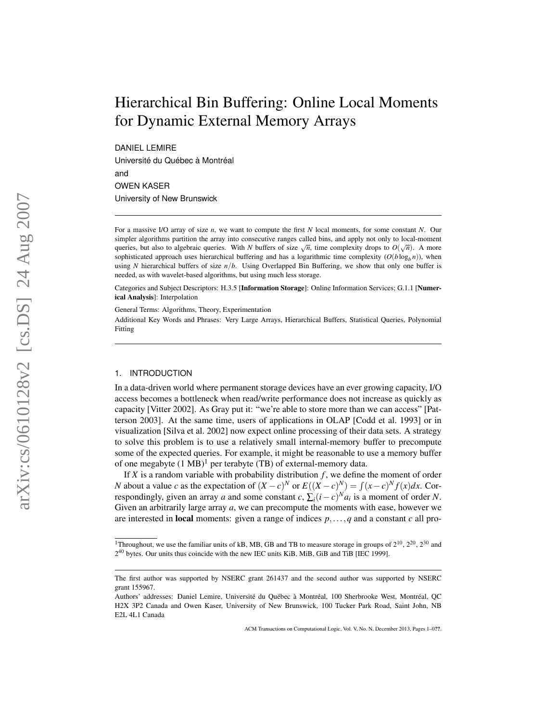# Hierarchical Bin Buffering: Online Local Moments for Dynamic External Memory Arrays

DANIEL LEMIRE Université du Québec à Montréal and OWEN KASER University of New Brunswick

For a massive I/O array of size *n*, we want to compute the first *N* local moments, for some constant *N*. Our simpler algorithms partition the array into consecutive ranges called bins, and apply not only to local-moment simplet algorithms partition the array life consecutive ranges called only, and apply not only to local-informed<br>queries, but also to algebraic queries. With *N* buffers of size  $\sqrt{n}$ , time complexity drops to  $O(\sqrt{n})$ . A sophisticated approach uses hierarchical buffering and has a logarithmic time complexity  $(O(b \log_b n))$ , when using *N* hierarchical buffers of size *n*/*b*. Using Overlapped Bin Buffering, we show that only one buffer is needed, as with wavelet-based algorithms, but using much less storage.

Categories and Subject Descriptors: H.3.5 [Information Storage]: Online Information Services; G.1.1 [Numerical Analysis]: Interpolation

General Terms: Algorithms, Theory, Experimentation Additional Key Words and Phrases: Very Large Arrays, Hierarchical Buffers, Statistical Queries, Polynomial Fitting

## 1. INTRODUCTION

In a data-driven world where permanent storage devices have an ever growing capacity, I/O access becomes a bottleneck when read/write performance does not increase as quickly as capacity [Vitter 2002]. As Gray put it: "we're able to store more than we can access" [Patterson 2003]. At the same time, users of applications in OLAP [Codd et al. 1993] or in visualization [Silva et al. 2002] now expect online processing of their data sets. A strategy to solve this problem is to use a relatively small internal-memory buffer to precompute some of the expected queries. For example, it might be reasonable to use a memory buffer of one megabyte  $(1 \text{ MB})^1$  per terabyte (TB) of external-memory data.

If  $X$  is a random variable with probability distribution  $f$ , we define the moment of order *N* about a value *c* as the expectation of  $(X – c)^N$  or  $E((X – c)^N) = \int (x - c)^N f(x) dx$ . Correspondingly, given an array *a* and some constant *c*,  $\sum_i (i - c)^N a_i$  is a moment of order *N*. Given an arbitrarily large array *a*, we can precompute the moments with ease, however we are interested in local moments: given a range of indices *p*,...,*q* and a constant *c* all pro-

<sup>&</sup>lt;sup>1</sup>Throughout, we use the familiar units of kB, MB, GB and TB to measure storage in groups of  $2^{10}$ ,  $2^{20}$ ,  $2^{30}$  and 2<sup>40</sup> bytes. Our units thus coincide with the new IEC units KiB, MiB, GiB and TiB [IEC 1999].

The first author was supported by NSERC grant 261437 and the second author was supported by NSERC grant 155967.

Authors' addresses: Daniel Lemire, Université du Québec à Montréal, 100 Sherbrooke West, Montréal, QC H2X 3P2 Canada and Owen Kaser, University of New Brunswick, 100 Tucker Park Road, Saint John, NB E2L 4L1 Canada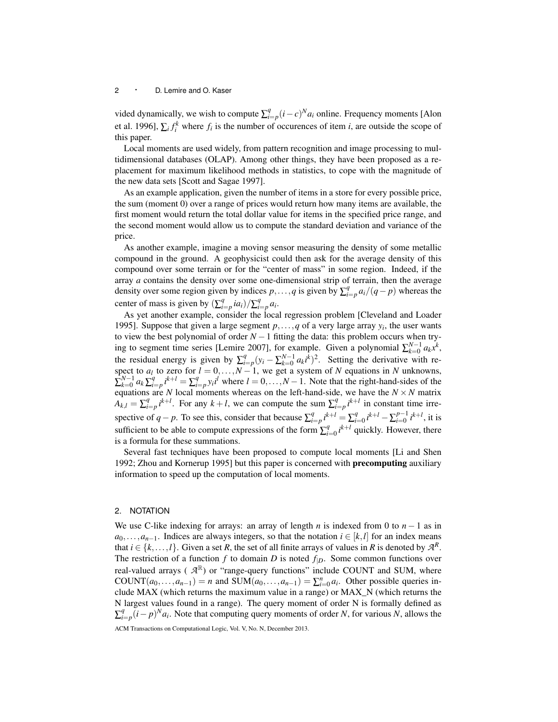vided dynamically, we wish to compute  $\sum_{i=p}^{q} (i-c)^{N} a_i$  online. Frequency moments [Alon et al. 1996],  $\sum_i f_i^k$  where  $f_i$  is the number of occurences of item *i*, are outside the scope of this paper.

Local moments are used widely, from pattern recognition and image processing to multidimensional databases (OLAP). Among other things, they have been proposed as a replacement for maximum likelihood methods in statistics, to cope with the magnitude of the new data sets [Scott and Sagae 1997].

As an example application, given the number of items in a store for every possible price, the sum (moment 0) over a range of prices would return how many items are available, the first moment would return the total dollar value for items in the specified price range, and the second moment would allow us to compute the standard deviation and variance of the price.

As another example, imagine a moving sensor measuring the density of some metallic compound in the ground. A geophysicist could then ask for the average density of this compound over some terrain or for the "center of mass" in some region. Indeed, if the array *a* contains the density over some one-dimensional strip of terrain, then the average density over some region given by indices  $p, \ldots, q$  is given by  $\sum_{i=p}^{q} a_i/(q-p)$  whereas the center of mass is given by  $\left(\sum_{i=p}^{q} i a_i\right) / \sum_{i=p}^{q} a_i$ .

As yet another example, consider the local regression problem [Cleveland and Loader 1995]. Suppose that given a large segment  $p, \ldots, q$  of a very large array  $y_i$ , the user wants to view the best polynomial of order *N* −1 fitting the data: this problem occurs when trying to segment time series [Lemire 2007], for example. Given a polynomial  $\sum_{k=0}^{N-1} a_k x^k$ , the residual energy is given by  $\sum_{i=p}^{q} (y_i - \sum_{k=0}^{N-1} a_k i^k)^2$ . Setting the derivative with respect to  $a_l$  to zero for  $l = 0, \ldots, N-1$ , we get a system of *N* equations in *N* unknowns,  $\sum_{k=0}^{N-1} a_k \sum_{i=p}^{q} i^{k+l} = \sum_{i=p}^{q} y_i i^{i}$  where  $l = 0, ..., N-1$ . Note that the right-hand-sides of the equations are *N* local moments whereas on the left-hand-side, we have the  $N \times N$  matrix  $A_{k,l} = \sum_{i=p}^{q} i^{k+l}$ . For any  $k+l$ , we can compute the sum  $\sum_{i=p}^{q} i^{k+l}$  in constant time irrespective of *q* − *p*. To see this, consider that because  $\sum_{i=p}^{q} i^{k+l} = \sum_{i=1}^{q}$  $i^{q}_{i=0}$   $i^{k+l}$  –  $\sum_{i=0}^{p-1}$  $\int_{i=0}^{p-1} i^{k+l}$ , it is sufficient to be able to compute expressions of the form  $\sum_{i=1}^{q}$  $\int_{i=0}^{q} i^{k+l}$  quickly. However, there is a formula for these summations.

Several fast techniques have been proposed to compute local moments [Li and Shen 1992; Zhou and Kornerup 1995] but this paper is concerned with precomputing auxiliary information to speed up the computation of local moments.

# 2. NOTATION

We use C-like indexing for arrays: an array of length *n* is indexed from 0 to  $n - 1$  as in  $a_0, \ldots, a_{n-1}$ . Indices are always integers, so that the notation  $i \in [k, l]$  for an index means that  $i \in \{k, ..., l\}$ . Given a set *R*, the set of all finite arrays of values in *R* is denoted by  $\mathcal{A}^R$ . The restriction of a function  $f$  to domain  $D$  is noted  $f_{|D}$ . Some common functions over real-valued arrays ( $\mathcal{A}^{\mathbb{R}}$ ) or "range-query functions" include COUNT and SUM, where COUNT $(a_0, \ldots, a_{n-1}) = n$  and SUM $(a_0, \ldots, a_{n-1}) = \sum_{i=0}^n a_i$ . Other possible queries include MAX (which returns the maximum value in a range) or MAX\_N (which returns the N largest values found in a range). The query moment of order N is formally defined as  $\sum_{i=p}^{q} (i-p)^{N} a_i$ . Note that computing query moments of order *N*, for various *N*, allows the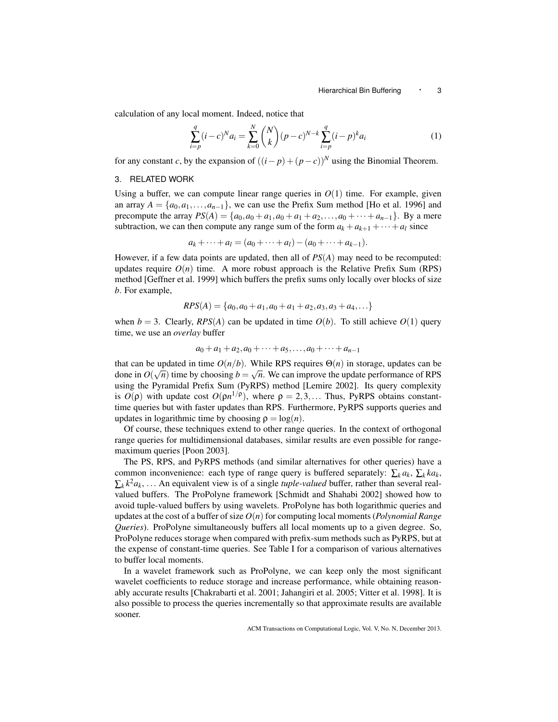calculation of any local moment. Indeed, notice that

$$
\sum_{i=p}^{q} (i-c)^{N} a_i = \sum_{k=0}^{N} {N \choose k} (p-c)^{N-k} \sum_{i=p}^{q} (i-p)^{k} a_i
$$
 (1)

for any constant *c*, by the expansion of  $((i-p)+(p-c))^N$  using the Binomial Theorem.

#### 3. RELATED WORK

Using a buffer, we can compute linear range queries in  $O(1)$  time. For example, given an array  $A = \{a_0, a_1, \ldots, a_{n-1}\}$ , we can use the Prefix Sum method [Ho et al. 1996] and precompute the array  $PS(A) = \{a_0, a_0 + a_1, a_0 + a_1 + a_2, \ldots, a_0 + \cdots + a_{n-1}\}.$  By a mere subtraction, we can then compute any range sum of the form  $a_k + a_{k+1} + \cdots + a_l$  since

$$
a_k + \cdots + a_l = (a_0 + \cdots + a_l) - (a_0 + \cdots + a_{k-1}).
$$

However, if a few data points are updated, then all of *PS*(*A*) may need to be recomputed: updates require  $O(n)$  time. A more robust approach is the Relative Prefix Sum (RPS) method [Geffner et al. 1999] which buffers the prefix sums only locally over blocks of size *b*. For example,

$$
RPS(A) = \{a_0, a_0 + a_1, a_0 + a_1 + a_2, a_3, a_3 + a_4, \ldots\}
$$

when  $b = 3$ . Clearly, *RPS*(*A*) can be updated in time  $O(b)$ . To still achieve  $O(1)$  query time, we use an *overlay* buffer

$$
a_0 + a_1 + a_2, a_0 + \cdots + a_5, \ldots, a_0 + \cdots + a_{n-1}
$$

that can be updated in time  $O(n/b)$ . While RPS requires  $\Theta(n)$  in storage, updates can be done in  $O(\sqrt{n})$  time by choosing  $b = \sqrt{n}$ . We can improve the update performance of RPS using the Pyramidal Prefix Sum (PyRPS) method [Lemire 2002]. Its query complexity is  $O(\rho)$  with update cost  $O(\rho n^{1/\rho})$ , where  $\rho = 2, 3, \dots$  Thus, PyRPS obtains constanttime queries but with faster updates than RPS. Furthermore, PyRPS supports queries and updates in logarithmic time by choosing  $\rho = \log(n)$ .

Of course, these techniques extend to other range queries. In the context of orthogonal range queries for multidimensional databases, similar results are even possible for rangemaximum queries [Poon 2003].

The PS, RPS, and PyRPS methods (and similar alternatives for other queries) have a common inconvenience: each type of range query is buffered separately:  $\sum_k a_k$ ,  $\sum_k ka_k$ ,  $\sum_{k} k^2 a_k$ , ... An equivalent view is of a single *tuple-valued* buffer, rather than several realvalued buffers. The ProPolyne framework [Schmidt and Shahabi 2002] showed how to avoid tuple-valued buffers by using wavelets. ProPolyne has both logarithmic queries and updates at the cost of a buffer of size  $O(n)$  for computing local moments (*Polynomial Range Queries*). ProPolyne simultaneously buffers all local moments up to a given degree. So, ProPolyne reduces storage when compared with prefix-sum methods such as PyRPS, but at the expense of constant-time queries. See Table I for a comparison of various alternatives to buffer local moments.

In a wavelet framework such as ProPolyne, we can keep only the most significant wavelet coefficients to reduce storage and increase performance, while obtaining reasonably accurate results [Chakrabarti et al. 2001; Jahangiri et al. 2005; Vitter et al. 1998]. It is also possible to process the queries incrementally so that approximate results are available sooner.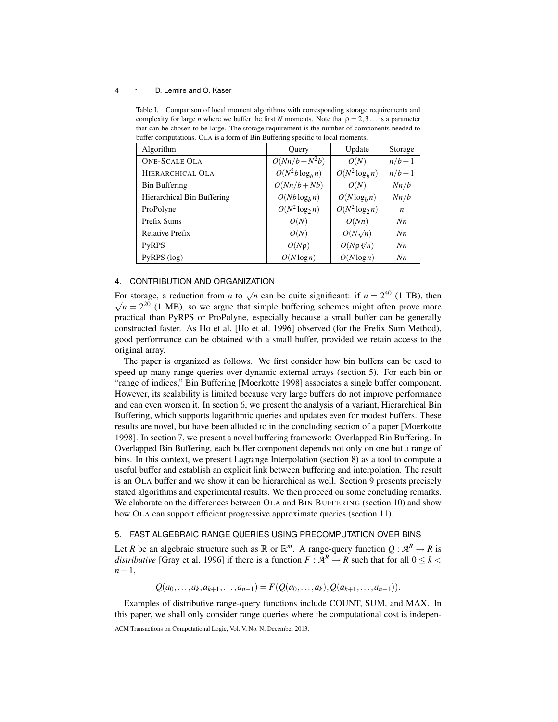Table I. Comparison of local moment algorithms with corresponding storage requirements and complexity for large *n* where we buffer the first *N* moments. Note that  $\rho = 2,3...$  is a parameter that can be chosen to be large. The storage requirement is the number of components needed to buffer computations. OLA is a form of Bin Buffering specific to local moments.

| Algorithm                  | Query             | Update                  | Storage        |
|----------------------------|-------------------|-------------------------|----------------|
| <b>ONE-SCALE OLA</b>       | $O(Nn/b+N^2b)$    | O(N)                    | $n/b+1$        |
| HIERARCHICAL OLA           | $O(N^2b\log_b n)$ | $O(N^2 \log_b n)$       | $n/b+1$        |
| <b>Bin Buffering</b>       | $O(Nn/b + Nb)$    | O(N)                    | Nn/b           |
| Hierarchical Bin Buffering | $O(Nb \log_b n)$  | $O(N \log_b n)$         | Nn/b           |
| ProPolyne                  | $O(N^2 \log_2 n)$ | $O(N^2 \log_2 n)$       | n              |
| Prefix Sums                | O(N)              | O(Nn)                   | N <sub>n</sub> |
| <b>Relative Prefix</b>     | O(N)              | $O(N\sqrt{n})$          | N <sub>n</sub> |
| <b>PyRPS</b>               | $O(N\rho)$        | $O(N \rho \sqrt[p]{n})$ | N <sub>n</sub> |
| $PVRPS$ (log)              | $O(N \log n)$     | $O(N \log n)$           | N <sub>n</sub> |

# 4. CONTRIBUTION AND ORGANIZATION

For storage, a reduction from *n* to  $\sqrt{n}$  can be quite significant: if  $n = 2^{40}$  (1 TB), then  $\overline{n} = 2^{20}$  (1 MB), so we argue that simple buffering schemes might often prove more practical than PyRPS or ProPolyne, especially because a small buffer can be generally constructed faster. As Ho et al. [Ho et al. 1996] observed (for the Prefix Sum Method), good performance can be obtained with a small buffer, provided we retain access to the original array.

The paper is organized as follows. We first consider how bin buffers can be used to speed up many range queries over dynamic external arrays (section 5). For each bin or "range of indices," Bin Buffering [Moerkotte 1998] associates a single buffer component. However, its scalability is limited because very large buffers do not improve performance and can even worsen it. In section 6, we present the analysis of a variant, Hierarchical Bin Buffering, which supports logarithmic queries and updates even for modest buffers. These results are novel, but have been alluded to in the concluding section of a paper [Moerkotte 1998]. In section 7, we present a novel buffering framework: Overlapped Bin Buffering. In Overlapped Bin Buffering, each buffer component depends not only on one but a range of bins. In this context, we present Lagrange Interpolation (section 8) as a tool to compute a useful buffer and establish an explicit link between buffering and interpolation. The result is an OLA buffer and we show it can be hierarchical as well. Section 9 presents precisely stated algorithms and experimental results. We then proceed on some concluding remarks. We elaborate on the differences between OLA and BIN BUFFERING (section 10) and show how OLA can support efficient progressive approximate queries (section 11).

# 5. FAST ALGEBRAIC RANGE QUERIES USING PRECOMPUTATION OVER BINS

Let *R* be an algebraic structure such as  $\mathbb{R}$  or  $\mathbb{R}^m$ . A range-query function  $Q: \mathcal{A}^R \to R$  is *distributive* [Gray et al. 1996] if there is a function  $F : \mathcal{A}^R \to R$  such that for all  $0 \leq k <$ *n*−1,

 $Q(a_0, \ldots, a_k, a_{k+1}, \ldots, a_{n-1}) = F(Q(a_0, \ldots, a_k), Q(a_{k+1}, \ldots, a_{n-1})).$ 

Examples of distributive range-query functions include COUNT, SUM, and MAX. In this paper, we shall only consider range queries where the computational cost is indepen-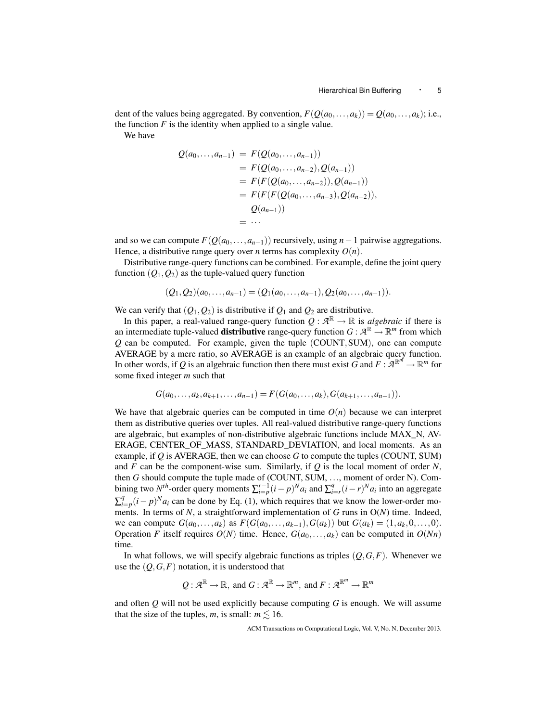dent of the values being aggregated. By convention,  $F(Q(a_0,...,a_k)) = Q(a_0,...,a_k)$ ; i.e., the function  $F$  is the identity when applied to a single value.

We have

$$
Q(a_0,...,a_{n-1}) = F(Q(a_0,...,a_{n-1}))
$$
  
=  $F(Q(a_0,...,a_{n-2}), Q(a_{n-1}))$   
=  $F(F(Q(a_0,...,a_{n-2})), Q(a_{n-1}))$   
=  $F(F(F(Q(a_0,...,a_{n-3}), Q(a_{n-2})),$   
 $Q(a_{n-1}))$   
= ...

and so we can compute  $F(Q(a_0,...,a_{n-1}))$  recursively, using  $n-1$  pairwise aggregations. Hence, a distributive range query over *n* terms has complexity  $O(n)$ .

Distributive range-query functions can be combined. For example, define the joint query function  $(Q_1, Q_2)$  as the tuple-valued query function

$$
(Q_1, Q_2)(a_0, \ldots, a_{n-1}) = (Q_1(a_0, \ldots, a_{n-1}), Q_2(a_0, \ldots, a_{n-1})).
$$

We can verify that  $(Q_1, Q_2)$  is distributive if  $Q_1$  and  $Q_2$  are distributive.

In this paper, a real-valued range-query function  $Q : \mathcal{A}^{\mathbb{R}} \to \mathbb{R}$  is *algebraic* if there is an intermediate tuple-valued **distributive** range-query function  $G : \mathcal{A}^{\mathbb{R}} \to \mathbb{R}^m$  from which *Q* can be computed. For example, given the tuple (COUNT,SUM), one can compute AVERAGE by a mere ratio, so AVERAGE is an example of an algebraic query function. In other words, if Q is an algebraic function then there must exist G and  $F: \mathcal{A}^{\mathbb{R}^m} \to \mathbb{R}^m$  for some fixed integer *m* such that

$$
G(a_0,...,a_k,a_{k+1},...,a_{n-1})=F(G(a_0,...,a_k),G(a_{k+1},...,a_{n-1})).
$$

We have that algebraic queries can be computed in time  $O(n)$  because we can interpret them as distributive queries over tuples. All real-valued distributive range-query functions are algebraic, but examples of non-distributive algebraic functions include MAX\_N, AV-ERAGE, CENTER OF MASS, STANDARD DEVIATION, and local moments. As an example, if *Q* is AVERAGE, then we can choose *G* to compute the tuples (COUNT, SUM) and *F* can be the component-wise sum. Similarly, if  $Q$  is the local moment of order *N*, then *G* should compute the tuple made of (COUNT, SUM, ..., moment of order N). Combining two  $N^{th}$ -order query moments  $\sum_{i=p}^{r-1} (i-p)^{N} a_i$  and  $\sum_{i=r}^{q} (i-r)^{N} a_i$  into an aggregate  $\sum_{i=p}^{q} (i-p)^{N} a_i$  can be done by Eq. (1), which requires that we know the lower-order moments. In terms of *N*, a straightforward implementation of *G* runs in O(*N*) time. Indeed, we can compute  $G(a_0,...,a_k)$  as  $F(G(a_0,...,a_{k-1}), G(a_k))$  but  $G(a_k) = (1,a_k,0,...,0)$ . Operation *F* itself requires  $O(N)$  time. Hence,  $G(a_0, \ldots, a_k)$  can be computed in  $O(Nn)$ time.

In what follows, we will specify algebraic functions as triples  $(Q, G, F)$ . Whenever we use the  $(Q, G, F)$  notation, it is understood that

$$
Q:\mathcal{A}^{\mathbb{R}}\to\mathbb{R},\text{ and }G:\mathcal{A}^{\mathbb{R}}\to\mathbb{R}^{m},\text{ and }F:\mathcal{A}^{\mathbb{R}^{m}}\to\mathbb{R}^{m}
$$

and often *Q* will not be used explicitly because computing *G* is enough. We will assume that the size of the tuples, *m*, is small:  $m \leq 16$ .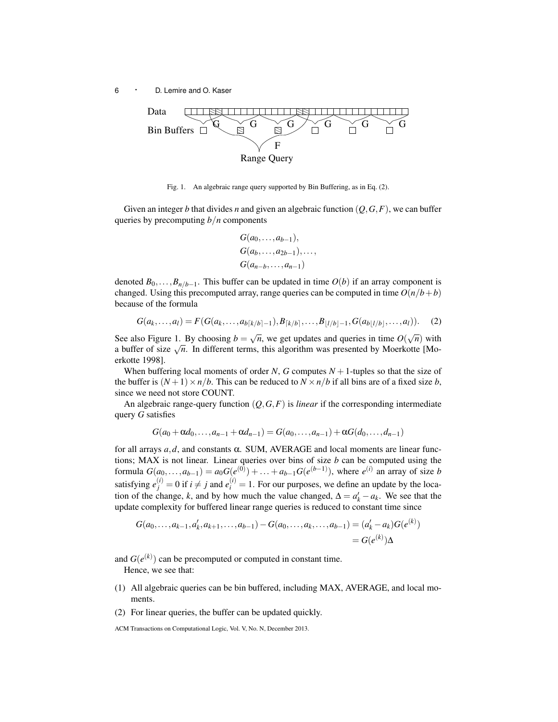

Fig. 1. An algebraic range query supported by Bin Buffering, as in Eq. (2).

Given an integer *b* that divides *n* and given an algebraic function  $(Q, G, F)$ , we can buffer queries by precomputing *b*/*n* components

$$
G(a_0,...,a_{b-1}),
$$
  
\n
$$
G(a_b,...,a_{2b-1}),...,
$$
  
\n
$$
G(a_{n-b},...,a_{n-1})
$$

denoted  $B_0, \ldots, B_{n/b-1}$ . This buffer can be updated in time  $O(b)$  if an array component is changed. Using this precomputed array, range queries can be computed in time  $O(n/b + b)$ because of the formula

$$
G(a_k, \ldots, a_l) = F(G(a_k, \ldots, a_{b[k/b]-1}), B_{[k/b]}, \ldots, B_{|l/b|-1}, G(a_{b|l/b|}, \ldots, a_l)).
$$
 (2)

See also Figure 1. By choosing  $b = \sqrt{n}$ , we get updates and queries in time  $O(\sqrt{n})$  with a buffer of size  $\sqrt{n}$ . In different terms, this algorithm was presented by Moerkotte [Moerkotte 1998].

When buffering local moments of order *N*, *G* computes  $N + 1$ -tuples so that the size of the buffer is  $(N+1) \times n/b$ . This can be reduced to  $N \times n/b$  if all bins are of a fixed size *b*, since we need not store COUNT.

An algebraic range-query function (*Q*,*G*,*F*) is *linear* if the corresponding intermediate query *G* satisfies

$$
G(a_0 + \alpha d_0, \ldots, a_{n-1} + \alpha d_{n-1}) = G(a_0, \ldots, a_{n-1}) + \alpha G(d_0, \ldots, d_{n-1})
$$

for all arrays  $a, d$ , and constants  $\alpha$ . SUM, AVERAGE and local moments are linear functions; MAX is not linear. Linear queries over bins of size *b* can be computed using the formula  $G(a_0,...,a_{b-1}) = a_0 G(e^{(0)}) + ... + a_{b-1} G(e^{(b-1)})$ , where  $e^{(i)}$  an array of size *b* satisfying  $e_j^{(i)} = 0$  if  $i \neq j$  and  $e_i^{(i)} = 1$ . For our purposes, we define an update by the location of the change, *k*, and by how much the value changed,  $\Delta = a'_k - a_k$ . We see that the update complexity for buffered linear range queries is reduced to constant time since

$$
G(a_0,...,a_{k-1},a'_k,a_{k+1},...,a_{b-1}) - G(a_0,...,a_k,...,a_{b-1}) = (a'_k - a_k)G(e^{(k)})
$$
  
=  $G(e^{(k)})\Delta$ 

and  $G(e^{(k)})$  can be precomputed or computed in constant time. Hence, we see that:

- (1) All algebraic queries can be bin buffered, including MAX, AVERAGE, and local moments.
- (2) For linear queries, the buffer can be updated quickly.

ACM Transactions on Computational Logic, Vol. V, No. N, December 2013.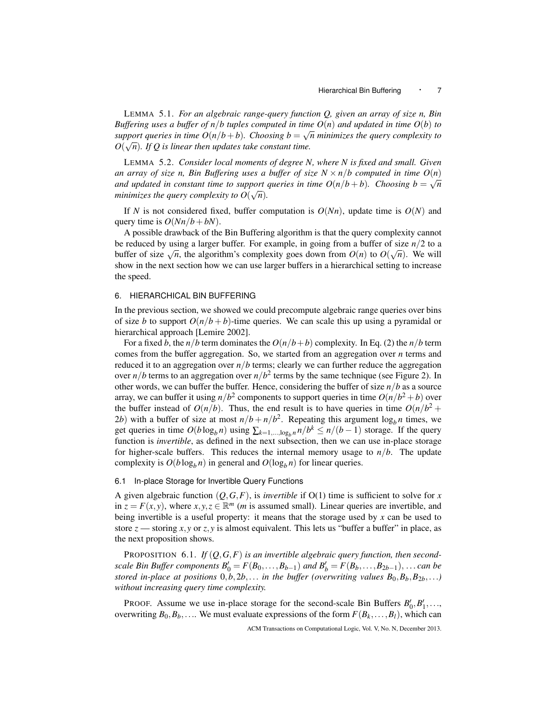LEMMA 5.1. *For an algebraic range-query function Q, given an array of size n, Bin Buffering uses a buffer of n/b tuples computed in time*  $O(n)$  *and updated in time*  $O(b)$  *to* support queries in time  $O(n/b + b)$ . Choosing  $b = \sqrt{n}$  minimizes the query complexity to  $O(\sqrt{n})$ . If Q is linear then updates take constant time.

LEMMA 5.2. *Consider local moments of degree N, where N is fixed and small. Given an array of size n, Bin Buffering uses a buffer of size*  $N \times n/b$  computed in time  $O(n)$ *and updated in constant time to support queries in time*  $O(n/b + b)$ *. Choosing*  $b = \sqrt{n}$ *minimizes the query complexity to*  $O(\sqrt{n})$ *.* 

If *N* is not considered fixed, buffer computation is  $O(Nn)$ , update time is  $O(N)$  and query time is  $O(Nn/b + bN)$ .

A possible drawback of the Bin Buffering algorithm is that the query complexity cannot be reduced by using a larger buffer. For example, in going from a buffer of size  $n/2$  to a be reduced by using a rarger burier. For example, in going from a burier of size  $n/2$  to a<br>buffer of size  $\sqrt{n}$ , the algorithm's complexity goes down from  $O(n)$  to  $O(\sqrt{n})$ . We will show in the next section how we can use larger buffers in a hierarchical setting to increase the speed.

# 6. HIERARCHICAL BIN BUFFERING

In the previous section, we showed we could precompute algebraic range queries over bins of size *b* to support  $O(n/b + b)$ -time queries. We can scale this up using a pyramidal or hierarchical approach [Lemire 2002].

For a fixed *b*, the *n*/*b* term dominates the  $O(n/b + b)$  complexity. In Eq. (2) the *n*/*b* term comes from the buffer aggregation. So, we started from an aggregation over *n* terms and reduced it to an aggregation over  $n/b$  terms; clearly we can further reduce the aggregation over  $n/b$  terms to an aggregation over  $n/b^2$  terms by the same technique (see Figure 2). In other words, we can buffer the buffer. Hence, considering the buffer of size *n*/*b* as a source array, we can buffer it using  $n/b^2$  components to support queries in time  $O(n/b^2 + b)$  over the buffer instead of  $O(n/b)$ . Thus, the end result is to have queries in time  $O(n/b^2 + 1)$ 2*b*) with a buffer of size at most  $n/b + n/b^2$ . Repeating this argument  $\log_b n$  times, we get queries in time  $O(b \log_b n)$  using  $\sum_{k=1,\dots,\log_b n} n/b^k \le n/(b-1)$  storage. If the query function is *invertible*, as defined in the next subsection, then we can use in-place storage for higher-scale buffers. This reduces the internal memory usage to  $n/b$ . The update complexity is  $O(b \log_b n)$  in general and  $O(\log_b n)$  for linear queries.

#### 6.1 In-place Storage for Invertible Query Functions

A given algebraic function  $(Q, G, F)$ , is *invertible* if  $O(1)$  time is sufficient to solve for *x* in  $z = F(x, y)$ , where  $x, y, z \in \mathbb{R}^m$  (*m* is assumed small). Linear queries are invertible, and being invertible is a useful property: it means that the storage used by *x* can be used to store  $z$  — storing  $x, y$  or  $z, y$  is almost equivalent. This lets us "buffer a buffer" in place, as the next proposition shows.

PROPOSITION 6.1. If  $(Q, G, F)$  is an invertible algebraic query function, then second*scale Bin Buffer components*  $B'_0 = F(B_0, \ldots, B_{b-1})$  *and*  $B'_b = F(B_b, \ldots, B_{2b-1}), \ldots$  *can be stored in-place at positions*  $0, b, 2b, \ldots$  *in the buffer (overwriting values*  $B_0, B_b, B_{2b}, \ldots$ ) *without increasing query time complexity.*

PROOF. Assume we use in-place storage for the second-scale Bin Buffers  $B'_0, B'_1, \ldots$ , overwriting  $B_0, B_b, \ldots$  We must evaluate expressions of the form  $F(B_k, \ldots, B_l)$ , which can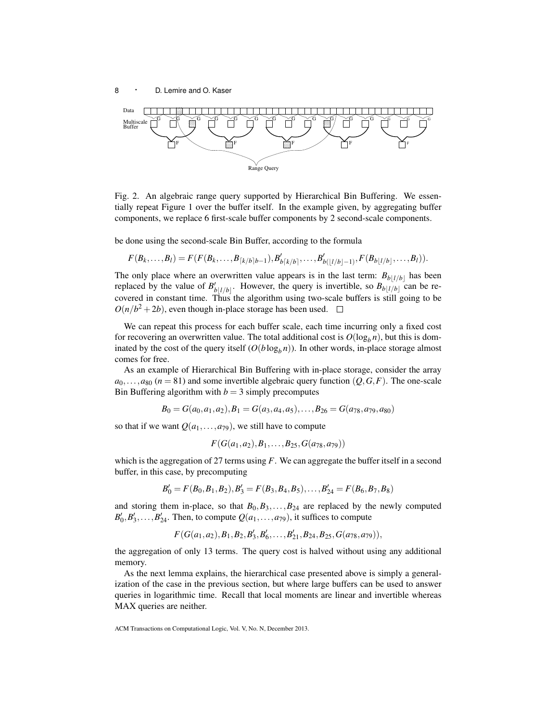

Fig. 2. An algebraic range query supported by Hierarchical Bin Buffering. We essentially repeat Figure 1 over the buffer itself. In the example given, by aggregating buffer components, we replace 6 first-scale buffer components by 2 second-scale components.

be done using the second-scale Bin Buffer, according to the formula

$$
F(B_k,\ldots,B_l)=F(F(B_k,\ldots,B_{\lceil k/b \rceil}h-1),B'_{b\lceil k/b \rceil},\ldots,B'_{b(\lfloor l/b \rfloor-1)},F(B_{b\lfloor l/b \rfloor},\ldots,B_l)).
$$

The only place where an overwritten value appears is in the last term:  $B_{b|l/b|}$  has been replaced by the value of  $B'_{b|l/b|}$ . However, the query is invertible, so  $B_{b|l/b|}$  can be recovered in constant time. Thus the algorithm using two-scale buffers is still going to be  $O(n/b^2 + 2b)$ , even though in-place storage has been used.

We can repeat this process for each buffer scale, each time incurring only a fixed cost for recovering an overwritten value. The total additional cost is  $O(\log_b n)$ , but this is dominated by the cost of the query itself  $(O(b \log_b n))$ . In other words, in-place storage almost comes for free.

As an example of Hierarchical Bin Buffering with in-place storage, consider the array  $a_0$ ,..., $a_{80}$  ( $n = 81$ ) and some invertible algebraic query function ( $Q$ ,  $G$ ,  $F$ ). The one-scale Bin Buffering algorithm with  $b = 3$  simply precomputes

$$
B_0 = G(a_0, a_1, a_2), B_1 = G(a_3, a_4, a_5), \ldots, B_{26} = G(a_{78}, a_{79}, a_{80})
$$

so that if we want  $Q(a_1,...,a_{79})$ , we still have to compute

 $F(G(a_1, a_2), B_1, \ldots, B_{25}, G(a_{78}, a_{79}))$ 

which is the aggregation of 27 terms using *F*. We can aggregate the buffer itself in a second buffer, in this case, by precomputing

$$
B'_0 = F(B_0, B_1, B_2), B'_3 = F(B_3, B_4, B_5), \ldots, B'_{24} = F(B_6, B_7, B_8)
$$

and storing them in-place, so that  $B_0, B_3, \ldots, B_{24}$  are replaced by the newly computed  $B'_0, B'_3, \ldots, B'_{24}$ . Then, to compute  $Q(a_1, \ldots, a_{79})$ , it suffices to compute

 $F(G(a_1, a_2), B_1, B_2, B'_3, B'_6, \ldots, B'_{21}, B_{24}, B_{25}, G(a_{78}, a_{79})),$ 

the aggregation of only 13 terms. The query cost is halved without using any additional memory.

As the next lemma explains, the hierarchical case presented above is simply a generalization of the case in the previous section, but where large buffers can be used to answer queries in logarithmic time. Recall that local moments are linear and invertible whereas MAX queries are neither.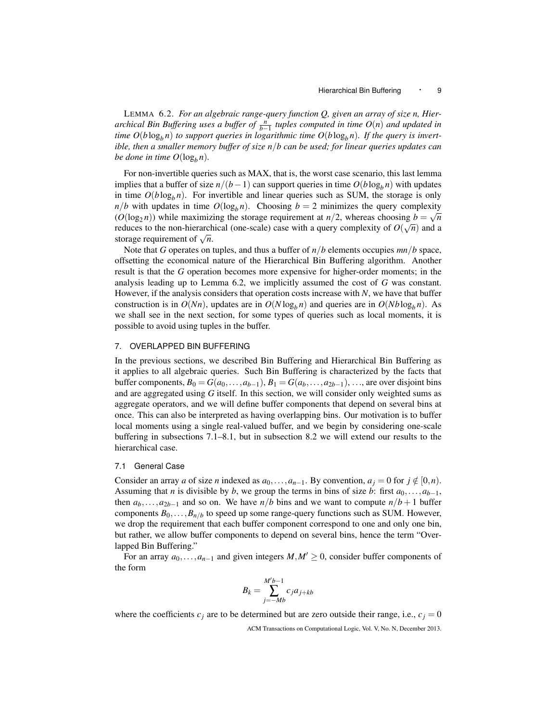LEMMA 6.2. *For an algebraic range-query function Q, given an array of size n, Hierarchical Bin Buffering uses a buffer of*  $\frac{n}{b-1}$  tuples computed in time  $O(n)$  and updated in *time*  $O(b \log_b n)$  *to support queries in logarithmic time*  $O(b \log_b n)$ *. If the query is invertible, then a smaller memory buffer of size n*/*b can be used; for linear queries updates can be done in time*  $O(\log_b n)$ *.* 

For non-invertible queries such as MAX, that is, the worst case scenario, this last lemma implies that a buffer of size  $n/(b-1)$  can support queries in time  $O(b \log_b n)$  with updates in time  $O(b \log_b n)$ . For invertible and linear queries such as SUM, the storage is only  $n/b$  with updates in time  $O(\log_b n)$ . Choosing  $b = 2$  minimizes the query complexity  $(O(\log_2 n))$  while maximizing the storage requirement at  $n/2$ , whereas choosing  $b = \sqrt{n}$ reduces to the non-hierarchical (one-scale) case with a query complexity of  $O(\sqrt{n})$  and a reduces to the non-inerarch<br>storage requirement of  $\sqrt{n}$ .

Note that *G* operates on tuples, and thus a buffer of *n*/*b* elements occupies *mn*/*b* space, offsetting the economical nature of the Hierarchical Bin Buffering algorithm. Another result is that the *G* operation becomes more expensive for higher-order moments; in the analysis leading up to Lemma 6.2, we implicitly assumed the cost of *G* was constant. However, if the analysis considers that operation costs increase with *N*, we have that buffer construction is in  $O(Nn)$ , updates are in  $O(N \log_b n)$  and queries are in  $O(Nb \log_b n)$ . As we shall see in the next section, for some types of queries such as local moments, it is possible to avoid using tuples in the buffer.

#### 7. OVERLAPPED BIN BUFFERING

In the previous sections, we described Bin Buffering and Hierarchical Bin Buffering as it applies to all algebraic queries. Such Bin Buffering is characterized by the facts that buffer components,  $B_0 = G(a_0, \ldots, a_{b-1}), B_1 = G(a_b, \ldots, a_{2b-1}), \ldots$ , are over disjoint bins and are aggregated using *G* itself. In this section, we will consider only weighted sums as aggregate operators, and we will define buffer components that depend on several bins at once. This can also be interpreted as having overlapping bins. Our motivation is to buffer local moments using a single real-valued buffer, and we begin by considering one-scale buffering in subsections 7.1–8.1, but in subsection 8.2 we will extend our results to the hierarchical case.

#### 7.1 General Case

Consider an array *a* of size *n* indexed as  $a_0, \ldots, a_{n-1}$ . By convention,  $a_j = 0$  for  $j \notin [0, n)$ . Assuming that *n* is divisible by *b*, we group the terms in bins of size *b*: first  $a_0, \ldots, a_{b-1}$ , then  $a_b$ ,..., $a_{2b-1}$  and so on. We have *n*/*b* bins and we want to compute *n*/*b* + 1 buffer components  $B_0, \ldots, B_{n/b}$  to speed up some range-query functions such as SUM. However, we drop the requirement that each buffer component correspond to one and only one bin, but rather, we allow buffer components to depend on several bins, hence the term "Overlapped Bin Buffering."

For an array  $a_0, \ldots, a_{n-1}$  and given integers  $M, M' \geq 0$ , consider buffer components of the form

$$
B_k = \sum_{j=-Mb}^{M'b-1} c_j a_{j+kb}
$$

where the coefficients  $c_j$  are to be determined but are zero outside their range, i.e.,  $c_j = 0$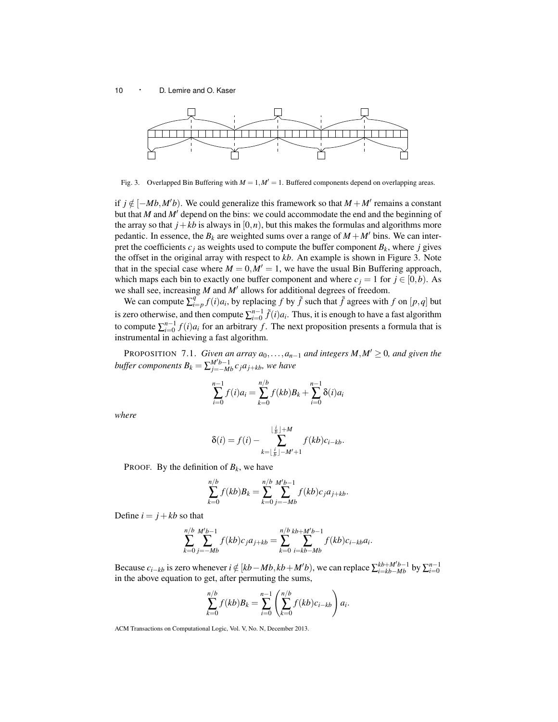

Fig. 3. Overlapped Bin Buffering with  $M = 1, M' = 1$ . Buffered components depend on overlapping areas.

if *j* ∉ [−*Mb*,*M'b*). We could generalize this framework so that *M* + *M'* remains a constant but that  $M$  and  $M'$  depend on the bins: we could accommodate the end and the beginning of the array so that  $j + kb$  is always in  $[0, n)$ , but this makes the formulas and algorithms more pedantic. In essence, the  $B_k$  are weighted sums over a range of  $M + M'$  bins. We can interpret the coefficients  $c_j$  as weights used to compute the buffer component  $B_k$ , where *j* gives the offset in the original array with respect to *kb*. An example is shown in Figure 3. Note that in the special case where  $M = 0$ ,  $M' = 1$ , we have the usual Bin Buffering approach, which maps each bin to exactly one buffer component and where  $c_j = 1$  for  $j \in [0,b)$ . As we shall see, increasing  $M$  and  $M'$  allows for additional degrees of freedom.

We can compute  $\sum_{i=p}^{q} f(i)a_i$ , by replacing *f* by  $\tilde{f}$  such that  $\tilde{f}$  agrees with *f* on [*p*,*q*] but is zero otherwise, and then compute  $\sum_{i=0}^{n-1} \tilde{f}(i)a_i$ . Thus, it is enough to have a fast algorithm to compute  $\sum_{i=0}^{n-1} f(i)a_i$  for an arbitrary *f*. The next proposition presents a formula that is instrumental in achieving a fast algorithm.

PROPOSITION 7.1. *Given an array*  $a_0$ , ..., $a_{n-1}$  *and integers*  $M, M' \geq 0$ *, and given the*  $b$ *uffer components*  $B_k = \sum_{j=-Mb}^{M'b-1} c_j a_{j+kb}$ *, we have* 

$$
\sum_{i=0}^{n-1} f(i)a_i = \sum_{k=0}^{n/b} f(kb)B_k + \sum_{i=0}^{n-1} \delta(i)a_i
$$

*where*

$$
\delta(i) = f(i) - \sum_{k=\lfloor \frac{i}{b} \rfloor - M'+1}^{\lfloor \frac{i}{b} \rfloor + M} f(kb)c_{i-kb}.
$$

PROOF. By the definition of  $B_k$ , we have

$$
\sum_{k=0}^{n/b} f(kb)B_k = \sum_{k=0}^{n/b} \sum_{j=-Mb}^{M'b-1} f(kb)c_j a_{j+kb}.
$$

Define  $i = j + kb$  so that

$$
\sum_{k=0}^{n/b} \sum_{j=-Mb}^{M'b-1} f(kb)c_j a_{j+kb} = \sum_{k=0}^{n/b} \sum_{i=kb-Mb}^{kb+M'b-1} f(kb)c_{i-kb} a_i.
$$

Because  $c_{i-kb}$  is zero whenever  $i \notin [kb - Mb, kb + M'b)$ , we can replace  $\sum_{i=kb-Mb}^{kb+M'b-1}$  by  $\sum_{i=0}^{n-1}$ in the above equation to get, after permuting the sums,

$$
\sum_{k=0}^{n/b} f(kb)B_k = \sum_{i=0}^{n-1} \left( \sum_{k=0}^{n/b} f(kb)c_{i-kb} \right) a_i.
$$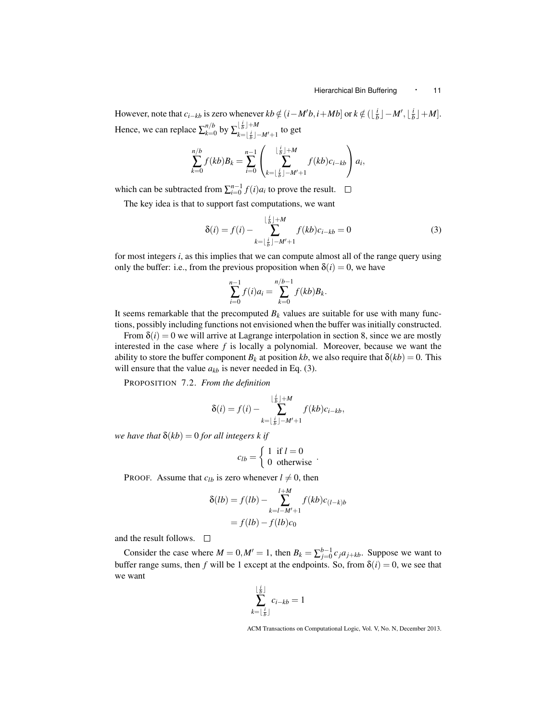However, note that  $c_{i-kb}$  is zero whenever  $kb \notin (i - M'b, i + Mb]$  or  $k \notin (\lfloor \frac{i}{b} \rfloor - M', \lfloor \frac{i}{b} \rfloor + M]$ . Hence, we can replace  $\sum_{k=0}^{n/b}$  $_{k=0}^{n/b}$  by  $\sum_{k=|\frac{i}{b}|+M}^{\lfloor \frac{i}{b} \rfloor + M}$  $\lim_{k=\lfloor \frac{i}{b} \rfloor-M'+1}$  to get

$$
\sum_{k=0}^{n/b} f(kb)B_k = \sum_{i=0}^{n-1} \left( \sum_{k=\lfloor \frac{i}{b} \rfloor - M'+1}^{\lfloor \frac{i}{b} \rfloor + M} f(kb)c_{i-kb} \right) a_i,
$$

which can be subtracted from  $\sum_{i=0}^{n-1} f(i) a_i$  to prove the result.

The key idea is that to support fast computations, we want

$$
\delta(i) = f(i) - \sum_{k=\lfloor \frac{i}{b} \rfloor - M' + 1}^{\lfloor \frac{i}{b} \rfloor + M} f(kb)c_{i-kb} = 0
$$
\n(3)

for most integers *i*, as this implies that we can compute almost all of the range query using only the buffer: i.e., from the previous proposition when  $\delta(i) = 0$ , we have

$$
\sum_{i=0}^{n-1} f(i)a_i = \sum_{k=0}^{n/b-1} f(kb)B_k.
$$

It seems remarkable that the precomputed  $B_k$  values are suitable for use with many functions, possibly including functions not envisioned when the buffer was initially constructed.

From  $\delta(i) = 0$  we will arrive at Lagrange interpolation in section 8, since we are mostly interested in the case where *f* is locally a polynomial. Moreover, because we want the ability to store the buffer component  $B_k$  at position *kb*, we also require that  $\delta(kb) = 0$ . This will ensure that the value  $a_{kb}$  is never needed in Eq. (3).

PROPOSITION 7.2. *From the definition*

$$
\delta(i) = f(i) - \sum_{k=\lfloor \frac{i}{b} \rfloor - M'+1}^{\lfloor \frac{i}{b} \rfloor + M} f(kb)c_{i-kb},
$$

*we have that*  $\delta(kb) = 0$  *for all integers k if* 

$$
c_{lb} = \begin{cases} 1 & \text{if } l = 0 \\ 0 & \text{otherwise} \end{cases}.
$$

PROOF. Assume that  $c_{lb}$  is zero whenever  $l \neq 0$ , then

$$
\delta(lb) = f(lb) - \sum_{k=l-M'+1}^{l+M} f(kb)c_{(l-k)b} = f(lb) - f(lb)c_0
$$

and the result follows.  $\Box$ 

Consider the case where  $M = 0$ ,  $M' = 1$ , then  $B_k = \sum_{j=0}^{b-1} c_j a_{j+kb}$ . Suppose we want to buffer range sums, then *f* will be 1 except at the endpoints. So, from  $\delta(i) = 0$ , we see that we want

$$
\sum_{k=\lfloor \frac{i}{b} \rfloor}^{\lfloor \frac{i}{b} \rfloor} c_{i-kb} = 1
$$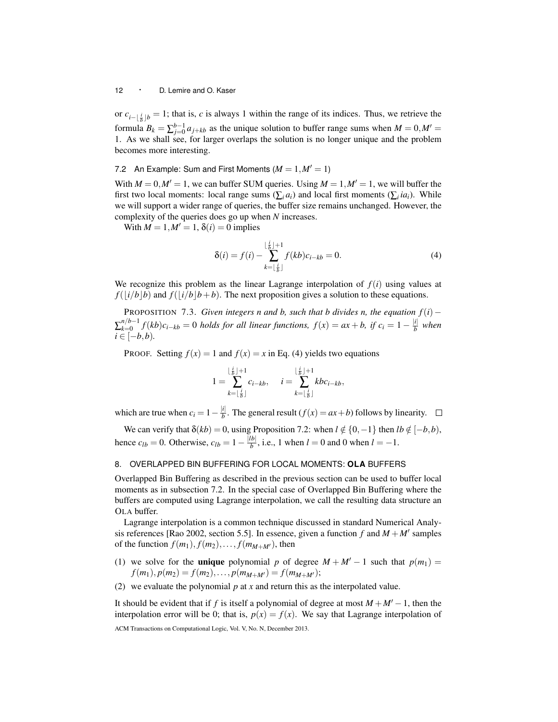or  $c_{i-\lfloor \frac{i}{b} \rfloor}$ *b* = 1; that is, *c* is always 1 within the range of its indices. Thus, we retrieve the formula  $B_k = \sum_{j=0}^{b-1} a_{j+kb}$  as the unique solution to buffer range sums when  $M = 0, M' = 0$ 1. As we shall see, for larger overlaps the solution is no longer unique and the problem becomes more interesting.

7.2 An Example: Sum and First Moments  $(M = 1, M' = 1)$ 

With  $M = 0$ ,  $M' = 1$ , we can buffer SUM queries. Using  $M = 1$ ,  $M' = 1$ , we will buffer the first two local moments: local range sums  $(\sum_i a_i)$  and local first moments  $(\sum_i ia_i)$ . While we will support a wider range of queries, the buffer size remains unchanged. However, the complexity of the queries does go up when *N* increases.

With  $M = 1, M' = 1, \delta(i) = 0$  implies

$$
\delta(i) = f(i) - \sum_{k=\lfloor \frac{i}{b} \rfloor}^{\lfloor \frac{i}{b} \rfloor + 1} f(kb)c_{i-kb} = 0.
$$
 (4)

We recognize this problem as the linear Lagrange interpolation of  $f(i)$  using values at  $f(|i/b|b)$  and  $f(|i/b|b+b)$ . The next proposition gives a solution to these equations.

PROPOSITION 7.3. *Given integers n and b, such that b divides n, the equation f*(*i*)−  $\sum_{k=0}^{n/b-1}$  $\frac{n}{b-1} f(kb)c_{i-kb} = 0$  *holds for all linear functions,*  $f(x) = ax + b$ , if  $c_i = 1 - \frac{|i|}{b}$ *b when*  $i \in [-b, b)$ .

**PROOF.** Setting  $f(x) = 1$  and  $f(x) = x$  in Eq. (4) yields two equations

$$
1 = \sum_{k=\lfloor \frac{i}{b} \rfloor}^{\lfloor \frac{i}{b} \rfloor + 1} c_{i-kb}, \quad i = \sum_{k=\lfloor \frac{i}{b} \rfloor}^{\lfloor \frac{i}{b} \rfloor + 1} k b c_{i-kb},
$$

which are true when  $c_i = 1 - \frac{|i|}{h}$  $\frac{d}{b}$ . The general result (*f*(*x*) = *ax* + *b*) follows by linearity.

We can verify that  $\delta(kb) = 0$ , using Proposition 7.2: when  $l \notin \{0, -1\}$  then  $lb \notin [-b, b)$ , hence  $c_{lb} = 0$ . Otherwise,  $c_{lb} = 1 - \frac{|lb|}{b}$  $\frac{b}{b}$ , i.e., 1 when *l* = 0 and 0 when *l* = -1.

# 8. OVERLAPPED BIN BUFFERING FOR LOCAL MOMENTS: **OLA** BUFFERS

Overlapped Bin Buffering as described in the previous section can be used to buffer local moments as in subsection 7.2. In the special case of Overlapped Bin Buffering where the buffers are computed using Lagrange interpolation, we call the resulting data structure an OLA buffer.

Lagrange interpolation is a common technique discussed in standard Numerical Analysis references [Rao 2002, section 5.5]. In essence, given a function  $f$  and  $M + M'$  samples of the function  $f(m_1)$ ,  $f(m_2)$ , ...,  $f(m_{M+M'})$ , then

- (1) we solve for the **unique** polynomial *p* of degree  $M + M' 1$  such that  $p(m_1) =$  $f(m_1), p(m_2) = f(m_2), \ldots, p(m_{M+M'}) = f(m_{M+M'});$
- (2) we evaluate the polynomial *p* at *x* and return this as the interpolated value.

It should be evident that if *f* is itself a polynomial of degree at most  $M + M' - 1$ , then the interpolation error will be 0; that is,  $p(x) = f(x)$ . We say that Lagrange interpolation of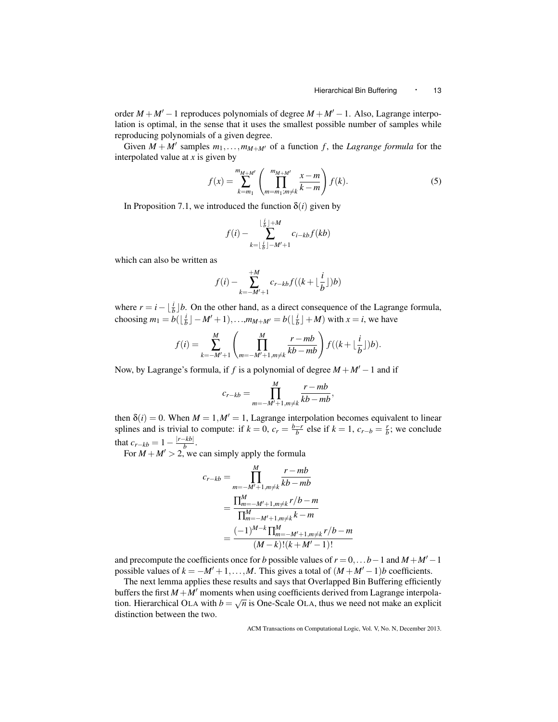order  $M + M' - 1$  reproduces polynomials of degree  $M + M' - 1$ . Also, Lagrange interpolation is optimal, in the sense that it uses the smallest possible number of samples while reproducing polynomials of a given degree.

Given  $M + M'$  samples  $m_1, \ldots, m_{M + M'}$  of a function f, the *Lagrange formula* for the interpolated value at *x* is given by

$$
f(x) = \sum_{k=m_1}^{m_{M+M'}} \left( \prod_{m=m_1; m \neq k}^{m_{M+M'}} \frac{x - m}{k - m} \right) f(k).
$$
 (5)

In Proposition 7.1, we introduced the function  $\delta(i)$  given by

$$
f(i) - \sum_{k=\lfloor \frac{i}{b} \rfloor - M'+1}^{\lfloor \frac{i}{b} \rfloor + M} c_{i-kb} f(kb)
$$

which can also be written as

$$
f(i) - \sum_{k=-M'+1}^{+M} c_{r-kb} f((k + \lfloor \frac{i}{b} \rfloor)b)
$$

where  $r = i - \left\lfloor \frac{i}{b} \right\rfloor b$ . On the other hand, as a direct consequence of the Lagrange formula, choosing  $m_1 = b(\lfloor \frac{i}{b} \rfloor - M' + 1), \ldots, m_{M+M'} = b(\lfloor \frac{i}{b} \rfloor + M)$  with  $x = i$ , we have

$$
f(i) = \sum_{k=-M'+1}^{M} \left( \prod_{m=-M'+1,m\neq k}^{M} \frac{r-mb}{kb-mb} \right) f((k+\lfloor \frac{i}{b} \rfloor)b).
$$

Now, by Lagrange's formula, if *f* is a polynomial of degree  $M + M' - 1$  and if

$$
c_{r-kb} = \prod_{m=-M'+1,m\neq k}^{M} \frac{r-mb}{kb-mb},
$$

then  $\delta(i) = 0$ . When  $M = 1, M' = 1$ , Lagrange interpolation becomes equivalent to linear splines and is trivial to compute: if  $k = 0$ ,  $c_r = \frac{b-r}{b}$  else if  $k = 1$ ,  $c_{r-b} = \frac{r}{b}$ ; we conclude that  $c_{r-kb} = 1 - \frac{|r - kb|}{b}$  $\frac{-\kappa\nu_{\parallel}}{b}$ .

For  $M + M' > 2$ , we can simply apply the formula

$$
c_{r-kb} = \prod_{m=-M'+1,m\neq k}^{M} \frac{r-mb}{kb-mb}
$$
  
= 
$$
\frac{\prod_{m=-M'+1,m\neq k}^{M} r/b-m}{\prod_{m=-M'+1,m\neq k}^{M} k-m}
$$
  
= 
$$
\frac{(-1)^{M-k} \prod_{m=-M'+1,m\neq k}^{M} r/b-m}{(M-k)!(k+M'-1)!}
$$

and precompute the coefficients once for *b* possible values of  $r = 0, \ldots b - 1$  and  $M + M' - 1$ possible values of  $k = -M' + 1, \ldots, M$ . This gives a total of  $(M + M' - 1)b$  coefficients.

The next lemma applies these results and says that Overlapped Bin Buffering efficiently buffers the first  $M + M'$  moments when using coefficients derived from Lagrange interpolation. Hierarchical OLA with  $b = \sqrt{n}$  is One-Scale OLA, thus we need not make an explicit distinction between the two.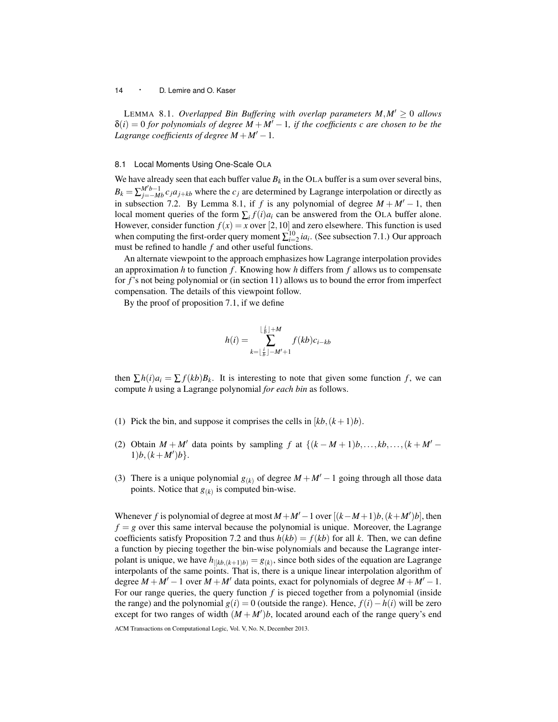LEMMA 8.1. *Overlapped Bin Buffering with overlap parameters*  $M$ *,*  $M' > 0$  *allows*  $\delta(i) = 0$  *for polynomials of degree*  $M + M' - 1$ *, if the coefficients c are chosen to be the Lagrange coefficients of degree*  $M + M' - 1$ .

#### 8.1 Local Moments Using One-Scale OLA

We have already seen that each buffer value  $B_k$  in the OLA buffer is a sum over several bins,  $B_k = \sum_{j=-Mb}^{M'b-1} c_j a_{j+kb}$  where the  $c_j$  are determined by Lagrange interpolation or directly as in subsection 7.2. By Lemma 8.1, if *f* is any polynomial of degree  $M + M' - 1$ , then local moment queries of the form  $\sum_i f(i) a_i$  can be answered from the OLA buffer alone. However, consider function  $f(x) = x$  over [2, 10] and zero elsewhere. This function is used when computing the first-order query moment  $\sum_{i=2}^{10} i a_i$ . (See subsection 7.1.) Our approach must be refined to handle *f* and other useful functions.

An alternate viewpoint to the approach emphasizes how Lagrange interpolation provides an approximation *h* to function *f* . Knowing how *h* differs from *f* allows us to compensate for *f*'s not being polynomial or (in section 11) allows us to bound the error from imperfect compensation. The details of this viewpoint follow.

By the proof of proposition 7.1, if we define

$$
h(i) = \sum_{k=\lfloor \frac{i}{b} \rfloor - M'+1}^{\lfloor \frac{i}{b} \rfloor + M} f(kb)c_{i-kb}
$$

then  $\sum h(i)a_i = \sum f(kb)B_k$ . It is interesting to note that given some function *f*, we can compute *h* using a Lagrange polynomial *for each bin* as follows.

- (1) Pick the bin, and suppose it comprises the cells in  $[kb, (k+1)b]$ .
- (2) Obtain  $M + M'$  data points by sampling *f* at  $\{(k M + 1)b, \ldots, kb, \ldots, (k + M' b)\}$  $1)b$ ,  $(k+M')b$ .
- (3) There is a unique polynomial  $g(k)$  of degree  $M + M' 1$  going through all those data points. Notice that  $g_{(k)}$  is computed bin-wise.

Whenever *f* is polynomial of degree at most  $M + M' - 1$  over  $[(k - M + 1)b, (k + M')b]$ , then  $f = g$  over this same interval because the polynomial is unique. Moreover, the Lagrange coefficients satisfy Proposition 7.2 and thus  $h(kb) = f(kb)$  for all k. Then, we can define a function by piecing together the bin-wise polynomials and because the Lagrange interpolant is unique, we have  $h_{|[kb,(k+1)b)} = g_{(k)}$ , since both sides of the equation are Lagrange interpolants of the same points. That is, there is a unique linear interpolation algorithm of degree  $M + M' - 1$  over  $M + M'$  data points, exact for polynomials of degree  $M + M' - 1$ . For our range queries, the query function *f* is pieced together from a polynomial (inside the range) and the polynomial  $g(i) = 0$  (outside the range). Hence,  $f(i) - h(i)$  will be zero except for two ranges of width  $(M + M')b$ , located around each of the range query's end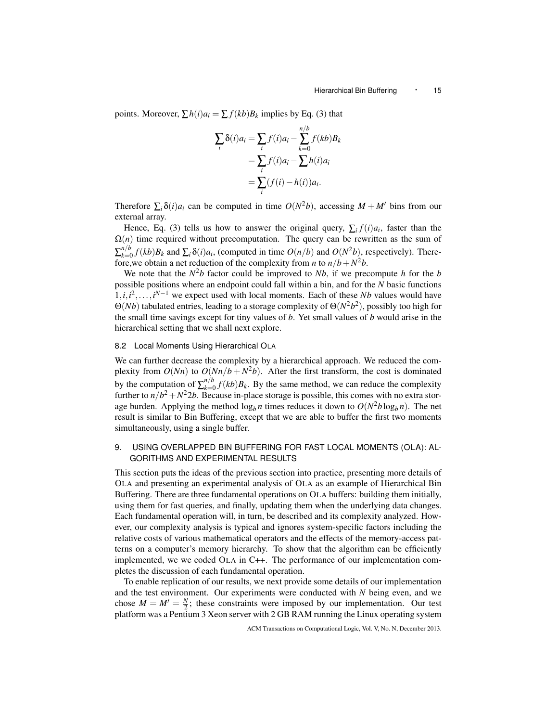points. Moreover,  $\sum h(i)a_i = \sum f(kb)B_k$  implies by Eq. (3) that

$$
\sum_{i} \delta(i)a_i = \sum_{i} f(i)a_i - \sum_{k=0}^{n/b} f(kb)B_k
$$

$$
= \sum_{i} f(i)a_i - \sum_{i} h(i)a_i
$$

$$
= \sum_{i} (f(i) - h(i))a_i.
$$

Therefore  $\sum_i \delta(i) a_i$  can be computed in time  $O(N^2b)$ , accessing  $M + M'$  bins from our external array.

Hence, Eq. (3) tells us how to answer the original query,  $\sum_i f(i) a_i$ , faster than the  $\Omega(n)$  time required without precomputation. The query can be rewritten as the sum of  $\sum_{k=0}^{n/b}$  $h/b \atop k=0} f(kb)B_k$  and  $\sum_i \delta(i)a_i$ , (computed in time  $O(n/b)$  and  $O(N^2b)$ , respectively). Therefore, we obtain a net reduction of the complexity from *n* to  $n/b + N^2b$ .

We note that the  $N^2b$  factor could be improved to *Nb*, if we precompute *h* for the *b* possible positions where an endpoint could fall within a bin, and for the *N* basic functions  $1, i, i^2, \ldots, i^{N-1}$  we expect used with local moments. Each of these *Nb* values would have  $\Theta(Nb)$  tabulated entries, leading to a storage complexity of  $\Theta(N^2b^2)$ , possibly too high for the small time savings except for tiny values of *b*. Yet small values of *b* would arise in the hierarchical setting that we shall next explore.

# 8.2 Local Moments Using Hierarchical OLA

We can further decrease the complexity by a hierarchical approach. We reduced the complexity from  $O(Nn)$  to  $O(Nn/b + N^2b)$ . After the first transform, the cost is dominated by the computation of  $\sum_{k=0}^{n/b}$  $\int_{k=0}^{n/\nu} f(kb)B_k$ . By the same method, we can reduce the complexity further to  $n/b^2 + N^2 2b$ . Because in-place storage is possible, this comes with no extra storage burden. Applying the method  $\log_b n$  times reduces it down to  $O(N^2b \log_b n)$ . The net result is similar to Bin Buffering, except that we are able to buffer the first two moments simultaneously, using a single buffer.

# 9. USING OVERLAPPED BIN BUFFERING FOR FAST LOCAL MOMENTS (OLA): AL-GORITHMS AND EXPERIMENTAL RESULTS

This section puts the ideas of the previous section into practice, presenting more details of OLA and presenting an experimental analysis of OLA as an example of Hierarchical Bin Buffering. There are three fundamental operations on OLA buffers: building them initially, using them for fast queries, and finally, updating them when the underlying data changes. Each fundamental operation will, in turn, be described and its complexity analyzed. However, our complexity analysis is typical and ignores system-specific factors including the relative costs of various mathematical operators and the effects of the memory-access patterns on a computer's memory hierarchy. To show that the algorithm can be efficiently implemented, we we coded OLA in C++. The performance of our implementation completes the discussion of each fundamental operation.

To enable replication of our results, we next provide some details of our implementation and the test environment. Our experiments were conducted with *N* being even, and we chose  $M = M' = \frac{N}{2}$ ; these constraints were imposed by our implementation. Our test platform was a Pentium 3 Xeon server with 2 GB RAM running the Linux operating system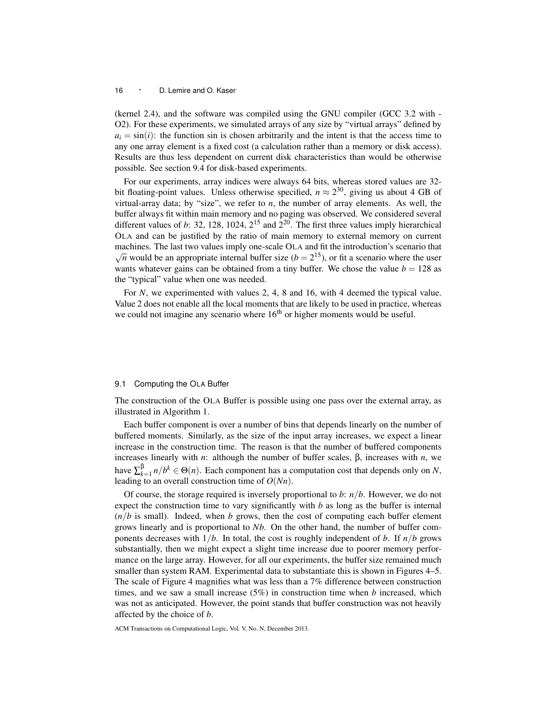(kernel 2.4), and the software was compiled using the GNU compiler (GCC 3.2 with - O2). For these experiments, we simulated arrays of any size by "virtual arrays" defined by  $a_i = \sin(i)$ : the function sin is chosen arbitrarily and the intent is that the access time to any one array element is a fixed cost (a calculation rather than a memory or disk access). Results are thus less dependent on current disk characteristics than would be otherwise possible. See section 9.4 for disk-based experiments.

For our experiments, array indices were always 64 bits, whereas stored values are 32 bit floating-point values. Unless otherwise specified,  $n \approx 2^{30}$ , giving us about 4 GB of virtual-array data; by "size", we refer to *n*, the number of array elements. As well, the buffer always fit within main memory and no paging was observed. We considered several different values of *b*: 32, 128, 1024,  $2^{15}$  and  $2^{20}$ . The first three values imply hierarchical OLA and can be justified by the ratio of main memory to external memory on current machines. The last two values imply one-scale OLA and fit the introduction's scenario that  $\sqrt{n}$  would be an appropriate internal buffer size ( $b = 2^{15}$ ), or fit a scenario where the user wants whatever gains can be obtained from a tiny buffer. We chose the value  $b = 128$  as the "typical" value when one was needed.

For *N*, we experimented with values 2, 4, 8 and 16, with 4 deemed the typical value. Value 2 does not enable all the local moments that are likely to be used in practice, whereas we could not imagine any scenario where  $16<sup>th</sup>$  or higher moments would be useful.

#### 9.1 Computing the OLA Buffer

The construction of the OLA Buffer is possible using one pass over the external array, as illustrated in Algorithm 1.

Each buffer component is over a number of bins that depends linearly on the number of buffered moments. Similarly, as the size of the input array increases, we expect a linear increase in the construction time. The reason is that the number of buffered components increases linearly with *n*: although the number of buffer scales, β, increases with *n*, we have  $\sum_{k=1}^{\beta} n/b^k \in \Theta(n)$ . Each component has a computation cost that depends only on *N*, leading to an overall construction time of *O*(*Nn*).

Of course, the storage required is inversely proportional to *b*: *n*/*b*. However, we do not expect the construction time to vary significantly with  $b$  as long as the buffer is internal  $(n/b)$  is small). Indeed, when *b* grows, then the cost of computing each buffer element grows linearly and is proportional to *Nb*. On the other hand, the number of buffer components decreases with  $1/b$ . In total, the cost is roughly independent of *b*. If  $n/b$  grows substantially, then we might expect a slight time increase due to poorer memory performance on the large array. However, for all our experiments, the buffer size remained much smaller than system RAM. Experimental data to substantiate this is shown in Figures 4–5. The scale of Figure 4 magnifies what was less than a 7% difference between construction times, and we saw a small increase (5%) in construction time when *b* increased, which was not as anticipated. However, the point stands that buffer construction was not heavily affected by the choice of *b*.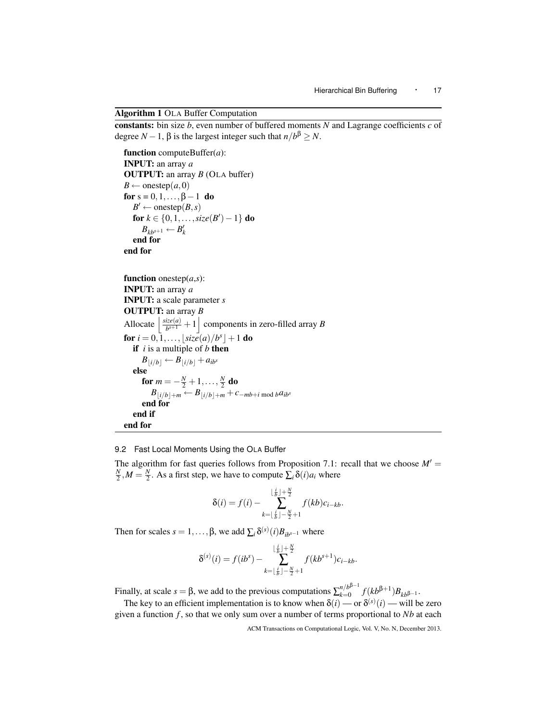Algorithm 1 OLA Buffer Computation

constants: bin size *b*, even number of buffered moments *N* and Lagrange coefficients *c* of degree *N* − 1,  $\beta$  is the largest integer such that  $n/b^{\beta} \ge N$ .

```
function computeBuffer(a):
INPUT: an array a
OUTPUT: an array B (OLA buffer)
B \leftarrow onestep(a, 0)for s = 0, 1, \ldots, \beta - 1 do
   B' \leftarrow onestep(B, s)for k \in \{0, 1, \ldots, size(B') - 1\} do
      B_{kb^{s+1}} \leftarrow B'_kend for
end for
```

```
function onestep(a, s):
INPUT: an array a
INPUT: a scale parameter s
OUTPUT: an array B
 Allocate \frac{\text{size}(a)}{\text{bs}+1}\frac{dze(a)}{b^{s+1}} + 1 components in zero-filled array B
 for i = 0, \overline{1}, \ldots, \lfloor size(a)/b^s \rfloor + 1 do
    if i is a multiple of b then
        B_{\vert i/b \vert} \leftarrow B_{\vert i/b \vert} + a_{ib}<sup>s</sup>
    else
         for m = -\frac{N}{2} + 1, \ldots, \frac{N}{2} do
             B<sub>\vert i/b \vert + m} ← B\vert i/b \vert + m + c−mb+i mod b<sup>a</sup>ib<sup>s</sup></sub>
         end for
    end if
end for
```
9.2 Fast Local Moments Using the OLA Buffer

The algorithm for fast queries follows from Proposition 7.1: recall that we choose  $M' =$  $\frac{N}{2}$ ,  $M = \frac{N}{2}$ . As a first step, we have to compute  $\sum_i \delta(i) a_i$  where

$$
\delta(i) = f(i) - \sum_{k=\lfloor \frac{i}{b} \rfloor - \frac{N}{2}+1}^{\lfloor \frac{i}{b} \rfloor + \frac{N}{2}} f(kb)c_{i-kb}.
$$

Then for scales  $s = 1, ..., \beta$ , we add  $\sum_i \delta^{(s)}(i) B_{ib^{s-1}}$  where

$$
\delta^{(s)}(i) = f(ib^s) - \sum_{k=\lfloor \frac{i}{b} \rfloor - \frac{N}{2} + 1}^{\lfloor \frac{i}{b} \rfloor + \frac{N}{2}} f(kb^{s+1})c_{i-kb}.
$$

Finally, at scale  $s = \beta$ , we add to the previous computations  $\sum_{k=0}^{n/b^{\beta-1}}$ *k*=0  $f(kb^{β+1})B_{kb^{β-1}}$ .

The key to an efficient implementation is to know when  $\delta(i)$  — or  $\delta^{(s)}(i)$  — will be zero given a function  $f$ , so that we only sum over a number of terms proportional to  $Nb$  at each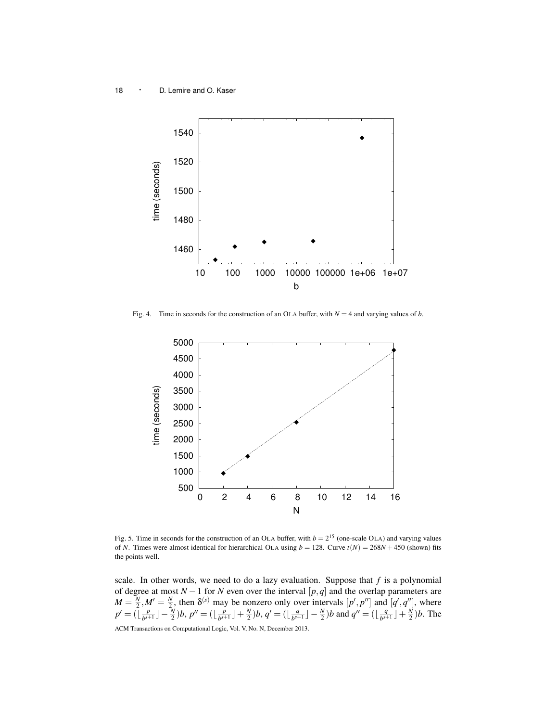

Fig. 4. Time in seconds for the construction of an OLA buffer, with  $N = 4$  and varying values of *b*.



Fig. 5. Time in seconds for the construction of an OLA buffer, with  $b = 2^{15}$  (one-scale OLA) and varying values of *N*. Times were almost identical for hierarchical OLA using  $b = 128$ . Curve  $t(N) = 268N + 450$  (shown) fits the points well.

scale. In other words, we need to do a lazy evaluation. Suppose that *f* is a polynomial of degree at most *N* −1 for *N* even over the interval [*p*,*q*] and the overlap parameters are  $M = \frac{N}{2}$ ,  $M' = \frac{N}{2}$ , then  $\delta^{(s)}$  may be nonzero only over intervals  $[p', p'']$  and  $[q', q'']$ , where  $p' = (\bar{x} \mid \frac{p}{bs^+})$  $\frac{p}{b^{s+1}}\rfloor-\frac{\tilde{N}}{2})b,\, p''=(\lfloor \frac{p}{b^{s+1}}\rfloor)$  $\frac{p}{b^{s+1}}$   $\rfloor + \frac{N}{2}$ )*b*,  $q' = (\lfloor \frac{q}{b^{s+1}} \rfloor)$  $\frac{q}{b^{s+1}}$  $\rfloor - \frac{N}{2}$ )*b* and  $q'' = (\lfloor \frac{q}{b^{s+1}} \rfloor)$  $\frac{q}{b^{s+1}}$  $\rfloor + \frac{N}{2}$ *)b*. The ACM Transactions on Computational Logic, Vol. V, No. N, December 2013.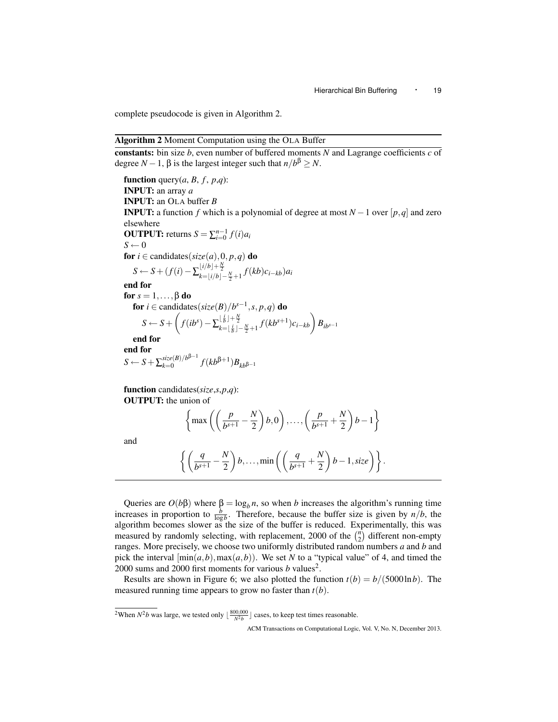complete pseudocode is given in Algorithm 2.

## Algorithm 2 Moment Computation using the OLA Buffer

constants: bin size *b*, even number of buffered moments *N* and Lagrange coefficients *c* of degree *N* − 1,  $\beta$  is the largest integer such that  $n/b^{\beta} \ge N$ .

function query $(a, B, f, p, q)$ : INPUT: an array *a* INPUT: an OLA buffer *B* **INPUT:** a function *f* which is a polynomial of degree at most  $N-1$  over [ $p$ , $q$ ] and zero elsewhere **OUTPUT:** returns  $S = \sum_{i=0}^{n-1} f(i) a_i$  $S \leftarrow 0$ for  $i \in$  candidates( $size(a), 0, p, q$ ) do  $S \leftarrow S + (f(i) - \sum_{k=\lfloor i/b \rfloor - \frac{N}{2} + 1}^{\lfloor i/b \rfloor + \frac{N}{2}} f(kb) c_{i-kb} a_i$ end for for  $s = 1, \ldots, \beta$  do for  $i \in$  candidates( $size(B)/b^{s-1}, s, p, q)$  do  $S \leftarrow S + \left(f(ib^s) - \sum_{k=\lfloor \frac{j}{b} \rfloor - \frac{N}{2} + 1}^{\lfloor \frac{j}{b} \rfloor + \frac{N}{2}} f(kb^{s+1}) c_{i-kb} \right) B_{ib^{s-1}}$ end for end for  $S \leftarrow S + \sum_{k=0}^{size(B)/b^{\beta-1}}$ *size*(*B*)/*b*<sup>*p*−1</sup></sub>  $f(kb$ <sup>β+1</sup>)*B*<sub>*kb*β−1</sub>

function candidates(*size*,*s*,*p*,*q*): OUTPUT: the union of

$$
\left\{\max\left(\left(\frac{p}{b^{s+1}}-\frac{N}{2}\right)b,0\right),\ldots,\left(\frac{p}{b^{s+1}}+\frac{N}{2}\right)b-1\right\}
$$

and

$$
\left\{ \left( \frac{q}{b^{s+1}} - \frac{N}{2} \right) b, \ldots, \min \left( \left( \frac{q}{b^{s+1}} + \frac{N}{2} \right) b - 1, \text{size} \right) \right\}.
$$

Queries are  $O(b\beta)$  where  $\beta = \log_b n$ , so when *b* increases the algorithm's running time increases in proportion to  $\frac{b}{\log b}$ . Therefore, because the buffer size is given by  $n/b$ , the algorithm becomes slower as the size of the buffer is reduced. Experimentally, this was measured by randomly selecting, with replacement, 2000 of the  $\binom{n}{2}$  different non-empty ranges. More precisely, we choose two uniformly distributed random numbers *a* and *b* and pick the interval  $[\min(a, b), \max(a, b)]$ . We set *N* to a "typical value" of 4, and timed the 2000 sums and 2000 first moments for various  $b$  values<sup>2</sup>.

Results are shown in Figure 6; we also plotted the function  $t(b) = b/(5000 \ln b)$ . The measured running time appears to grow no faster than *t*(*b*).

<sup>2</sup>When  $N^2b$  was large, we tested only  $\lfloor \frac{800,000}{N^2b} \rfloor$  cases, to keep test times reasonable.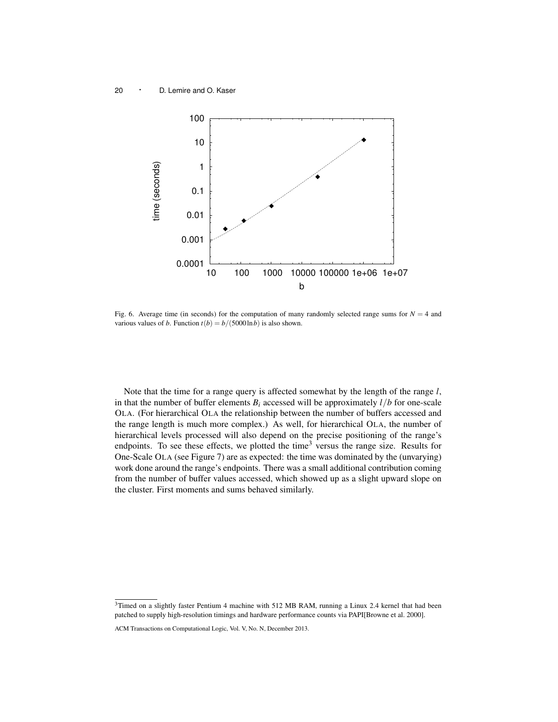

Fig. 6. Average time (in seconds) for the computation of many randomly selected range sums for  $N = 4$  and various values of *b*. Function  $t(b) = b/(5000 \ln b)$  is also shown.

Note that the time for a range query is affected somewhat by the length of the range *l*, in that the number of buffer elements  $B_i$  accessed will be approximately  $l/b$  for one-scale OLA. (For hierarchical OLA the relationship between the number of buffers accessed and the range length is much more complex.) As well, for hierarchical OLA, the number of hierarchical levels processed will also depend on the precise positioning of the range's endpoints. To see these effects, we plotted the time<sup>3</sup> versus the range size. Results for One-Scale OLA (see Figure 7) are as expected: the time was dominated by the (unvarying) work done around the range's endpoints. There was a small additional contribution coming from the number of buffer values accessed, which showed up as a slight upward slope on the cluster. First moments and sums behaved similarly.

<sup>&</sup>lt;sup>3</sup>Timed on a slightly faster Pentium 4 machine with 512 MB RAM, running a Linux 2.4 kernel that had been patched to supply high-resolution timings and hardware performance counts via PAPI[Browne et al. 2000].

ACM Transactions on Computational Logic, Vol. V, No. N, December 2013.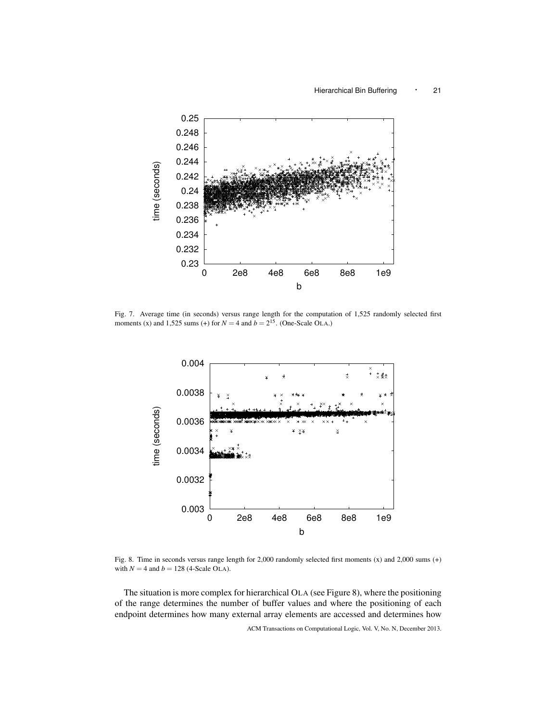

Fig. 7. Average time (in seconds) versus range length for the computation of 1,525 randomly selected first moments (x) and 1,525 sums (+) for  $N = 4$  and  $b = 2^{15}$ . (One-Scale OLA.)



Fig. 8. Time in seconds versus range length for 2,000 randomly selected first moments (x) and 2,000 sums (+) with  $N = 4$  and  $b = 128$  (4-Scale OLA).

The situation is more complex for hierarchical OLA (see Figure 8), where the positioning of the range determines the number of buffer values and where the positioning of each endpoint determines how many external array elements are accessed and determines how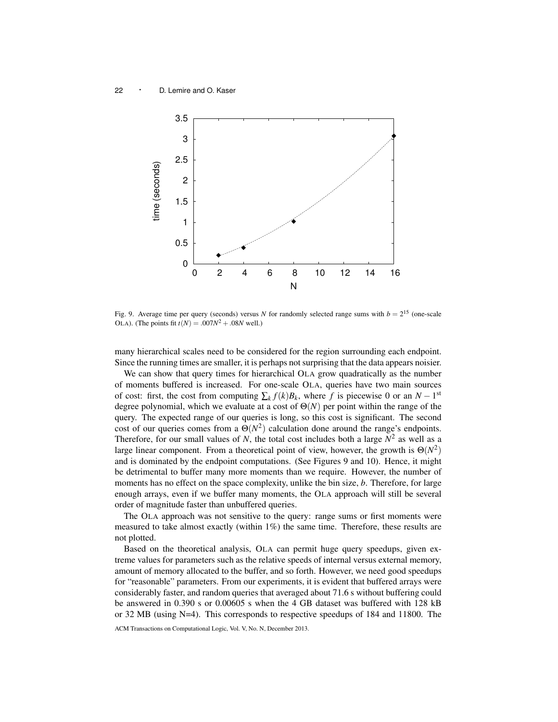

Fig. 9. Average time per query (seconds) versus *N* for randomly selected range sums with  $b = 2^{15}$  (one-scale OLA). (The points fit  $t(N) = .007N^2 + .08N$  well.)

many hierarchical scales need to be considered for the region surrounding each endpoint. Since the running times are smaller, it is perhaps not surprising that the data appears noisier.

We can show that query times for hierarchical OLA grow quadratically as the number of moments buffered is increased. For one-scale OLA, queries have two main sources of cost: first, the cost from computing  $\sum_k f(k)B_k$ , where *f* is piecewise 0 or an  $N-1$ <sup>st</sup> degree polynomial, which we evaluate at a cost of  $\Theta(N)$  per point within the range of the query. The expected range of our queries is long, so this cost is significant. The second cost of our queries comes from a  $\Theta(N^2)$  calculation done around the range's endpoints. Therefore, for our small values of  $N$ , the total cost includes both a large  $N^2$  as well as a large linear component. From a theoretical point of view, however, the growth is  $\Theta(N^2)$ and is dominated by the endpoint computations. (See Figures 9 and 10). Hence, it might be detrimental to buffer many more moments than we require. However, the number of moments has no effect on the space complexity, unlike the bin size, *b*. Therefore, for large enough arrays, even if we buffer many moments, the OLA approach will still be several order of magnitude faster than unbuffered queries.

The OLA approach was not sensitive to the query: range sums or first moments were measured to take almost exactly (within  $1\%$ ) the same time. Therefore, these results are not plotted.

Based on the theoretical analysis, OLA can permit huge query speedups, given extreme values for parameters such as the relative speeds of internal versus external memory, amount of memory allocated to the buffer, and so forth. However, we need good speedups for "reasonable" parameters. From our experiments, it is evident that buffered arrays were considerably faster, and random queries that averaged about 71.6 s without buffering could be answered in 0.390 s or 0.00605 s when the 4 GB dataset was buffered with 128 kB or 32 MB (using N=4). This corresponds to respective speedups of 184 and 11800. The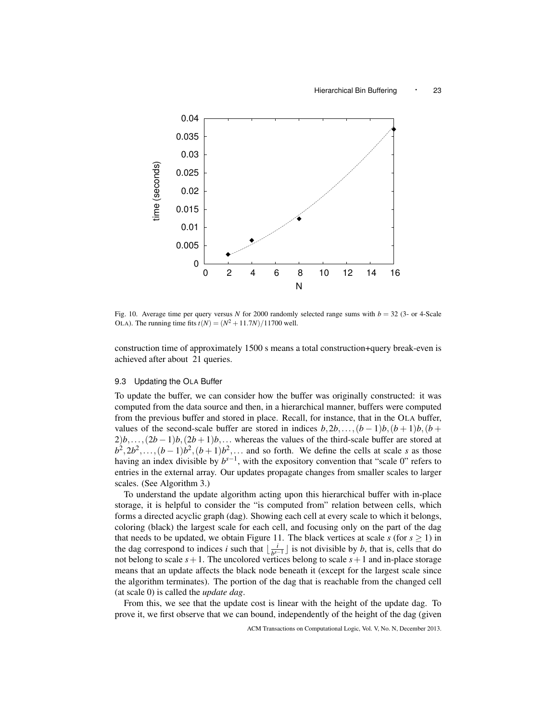

Fig. 10. Average time per query versus *N* for 2000 randomly selected range sums with  $b = 32$  (3- or 4-Scale OLA). The running time fits  $t(N) = (N^2 + 11.7N)/11700$  well.

construction time of approximately 1500 s means a total construction+query break-even is achieved after about 21 queries.

# 9.3 Updating the OLA Buffer

To update the buffer, we can consider how the buffer was originally constructed: it was computed from the data source and then, in a hierarchical manner, buffers were computed from the previous buffer and stored in place. Recall, for instance, that in the OLA buffer, values of the second-scale buffer are stored in indices  $b, 2b, \ldots, (b-1)b, (b+1)b, (b+1)$  $2)b$ ,..., $(2b-1)b$ , $(2b+1)b$ ,... whereas the values of the third-scale buffer are stored at  $b^2, 2b^2, \ldots, (b-1)b^2, (b+1)b^2, \ldots$  and so forth. We define the cells at scale *s* as those having an index divisible by  $b^{s-1}$ , with the expository convention that "scale 0" refers to entries in the external array. Our updates propagate changes from smaller scales to larger scales. (See Algorithm 3.)

To understand the update algorithm acting upon this hierarchical buffer with in-place storage, it is helpful to consider the "is computed from" relation between cells, which forms a directed acyclic graph (dag). Showing each cell at every scale to which it belongs, coloring (black) the largest scale for each cell, and focusing only on the part of the dag that needs to be updated, we obtain Figure 11. The black vertices at scale  $s$  (for  $s \ge 1$ ) in the dag correspond to indices *i* such that  $\frac{i}{b^{s}}$  $\frac{i}{b^{s-1}}$  is not divisible by *b*, that is, cells that do not belong to scale  $s + 1$ . The uncolored vertices belong to scale  $s + 1$  and in-place storage means that an update affects the black node beneath it (except for the largest scale since the algorithm terminates). The portion of the dag that is reachable from the changed cell (at scale 0) is called the *update dag*.

From this, we see that the update cost is linear with the height of the update dag. To prove it, we first observe that we can bound, independently of the height of the dag (given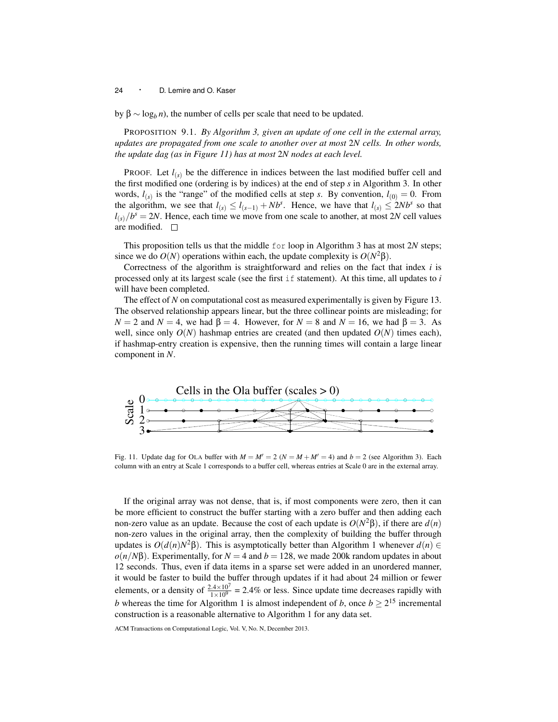by  $\beta \sim \log_b n$ ), the number of cells per scale that need to be updated.

PROPOSITION 9.1. *By Algorithm 3, given an update of one cell in the external array, updates are propagated from one scale to another over at most* 2*N cells. In other words, the update dag (as in Figure 11) has at most* 2*N nodes at each level.*

PROOF. Let  $l_{(s)}$  be the difference in indices between the last modified buffer cell and the first modified one (ordering is by indices) at the end of step *s* in Algorithm 3. In other words,  $l_{(s)}$  is the "range" of the modified cells at step *s*. By convention,  $l_{(0)} = 0$ . From the algorithm, we see that  $l_{(s)} \le l_{(s-1)} + Nb^s$ . Hence, we have that  $l_{(s)} \le 2Nb^s$  so that  $l_{(s)}/b^s = 2N$ . Hence, each time we move from one scale to another, at most 2*N* cell values are modified.  $\square$ 

This proposition tells us that the middle for loop in Algorithm 3 has at most 2*N* steps; since we do  $O(N)$  operations within each, the update complexity is  $O(N^2 \beta)$ .

Correctness of the algorithm is straightforward and relies on the fact that index *i* is processed only at its largest scale (see the first if statement). At this time, all updates to *i* will have been completed.

The effect of *N* on computational cost as measured experimentally is given by Figure 13. The observed relationship appears linear, but the three collinear points are misleading; for  $N = 2$  and  $N = 4$ , we had  $\beta = 4$ . However, for  $N = 8$  and  $N = 16$ , we had  $\beta = 3$ . As well, since only  $O(N)$  hashmap entries are created (and then updated  $O(N)$ ) times each), if hashmap-entry creation is expensive, then the running times will contain a large linear component in *N*.



Fig. 11. Update dag for OLA buffer with  $M = M' = 2$  ( $N = M + M' = 4$ ) and  $b = 2$  (see Algorithm 3). Each column with an entry at Scale 1 corresponds to a buffer cell, whereas entries at Scale 0 are in the external array.

If the original array was not dense, that is, if most components were zero, then it can be more efficient to construct the buffer starting with a zero buffer and then adding each non-zero value as an update. Because the cost of each update is *O*(*N* <sup>2</sup>β), if there are *d*(*n*) non-zero values in the original array, then the complexity of building the buffer through updates is  $O(d(n)N^2\beta)$ . This is asymptotically better than Algorithm 1 whenever  $d(n) \in$  $o(n/N\beta)$ . Experimentally, for  $N = 4$  and  $b = 128$ , we made 200k random updates in about 12 seconds. Thus, even if data items in a sparse set were added in an unordered manner, it would be faster to build the buffer through updates if it had about 24 million or fewer elements, or a density of  $\frac{2.4 \times 10^7}{1 \times 10^9}$  = 2.4% or less. Since update time decreases rapidly with *b* whereas the time for Algorithm 1 is almost independent of *b*, once  $b \geq 2^{15}$  incremental construction is a reasonable alternative to Algorithm 1 for any data set.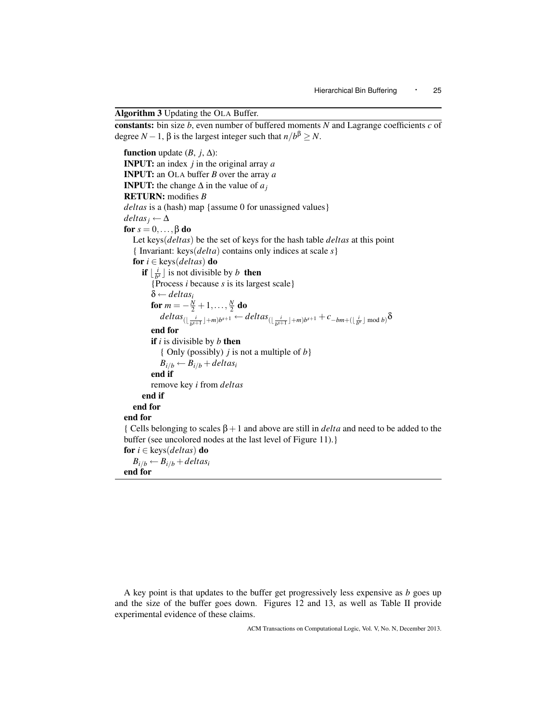Algorithm 3 Updating the OLA Buffer.

constants: bin size *b*, even number of buffered moments *N* and Lagrange coefficients *c* of degree *N* − 1,  $\beta$  is the largest integer such that  $n/b^{\beta} \ge N$ .

```
function update (B, j, \Delta):
INPUT: an index j in the original array a
INPUT: an OLA buffer B over the array a
INPUT: the change \Delta in the value of a_jRETURN: modifies B
deltas is a (hash) map {assume 0 for unassigned values}
delta_i \leftarrow \Deltafor s = 0, \ldots, \beta do
   Let keys(deltas) be the set of keys for the hash table deltas at this point
   { Invariant: keys(delta) contains only indices at scale s}
   for i ∈ keys(deltas) do
       if \lfloor \frac{i}{b^s} \rfloor is not divisible by b then
         {Process i because s is its largest scale}
         δ ← deltasi
          for m = -\frac{N}{2} + 1, \ldots, \frac{N}{2} do
             delta_{(\lfloor \frac{i}{b^{s+1}} \rfloor+m)b^{s+1}} \leftarrow delta_{(\lfloor \frac{i}{b^{s+1}} \rfloor+m)b^{s+1}} + c_{-bm+( \lfloor \frac{i}{b^{s}} \rfloor\; \text{mod}\; b)}δ
         end for
         if i is divisible by b then
            { Only (possibly) j is not a multiple of b}
            B_{i/b} \leftarrow B_{i/b} + delta s_iend if
         remove key i from deltas
      end if
   end for
end for
{ Cells belonging to scales β+1 and above are still in delta and need to be added to the
buffer (see uncolored nodes at the last level of Figure 11).}
for i ∈ keys(deltas) do
   B_{i/b} \leftarrow B_{i/b} + delta s_iend for
```
A key point is that updates to the buffer get progressively less expensive as *b* goes up and the size of the buffer goes down. Figures 12 and 13, as well as Table II provide experimental evidence of these claims.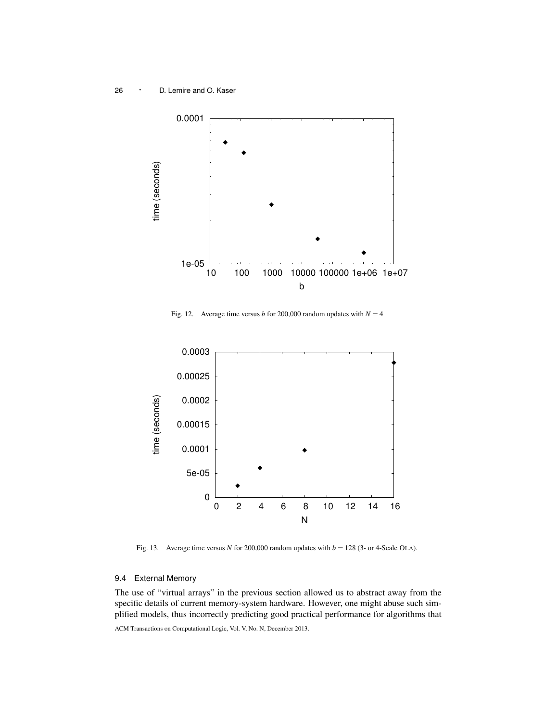

Fig. 12. Average time versus *b* for 200,000 random updates with  $N = 4$ 



Fig. 13. Average time versus *N* for 200,000 random updates with  $b = 128$  (3- or 4-Scale OLA).

# 9.4 External Memory

The use of "virtual arrays" in the previous section allowed us to abstract away from the specific details of current memory-system hardware. However, one might abuse such simplified models, thus incorrectly predicting good practical performance for algorithms that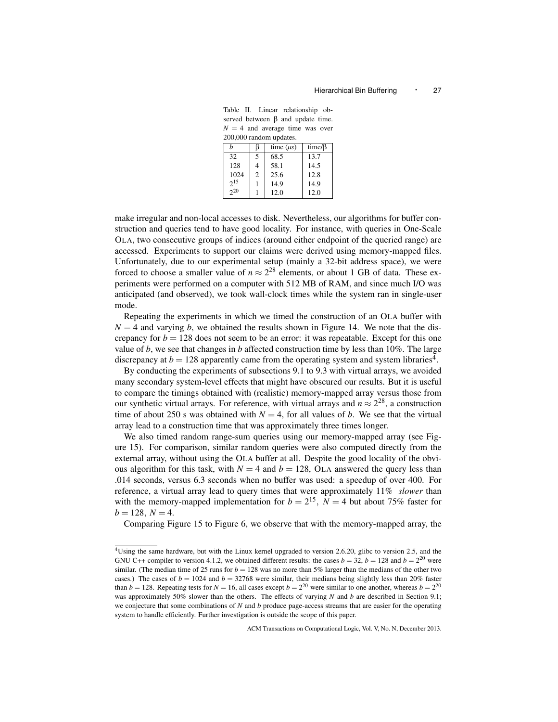Table II. Linear relationship observed between β and update time.  $N = 4$  and average time was over 200,000 random updates.

| h        |                | time $(\mu s)$ | time/ $\beta$ |  |
|----------|----------------|----------------|---------------|--|
| 32       | 5              | 68.5           | 13.7          |  |
| 128      | $\overline{4}$ | 58.1           | 14.5          |  |
| 1024     | 2              | 25.6           | 12.8          |  |
| $2^{15}$ |                | 14.9           | 14.9          |  |
| $2^{20}$ |                | 12.0           | 12.0          |  |

make irregular and non-local accesses to disk. Nevertheless, our algorithms for buffer construction and queries tend to have good locality. For instance, with queries in One-Scale OLA, two consecutive groups of indices (around either endpoint of the queried range) are accessed. Experiments to support our claims were derived using memory-mapped files. Unfortunately, due to our experimental setup (mainly a 32-bit address space), we were forced to choose a smaller value of  $n \approx 2^{28}$  elements, or about 1 GB of data. These experiments were performed on a computer with 512 MB of RAM, and since much I/O was anticipated (and observed), we took wall-clock times while the system ran in single-user mode.

Repeating the experiments in which we timed the construction of an OLA buffer with  $N = 4$  and varying *b*, we obtained the results shown in Figure 14. We note that the discrepancy for  $b = 128$  does not seem to be an error: it was repeatable. Except for this one value of *b*, we see that changes in *b* affected construction time by less than 10%. The large discrepancy at  $b = 128$  apparently came from the operating system and system libraries<sup>4</sup>.

By conducting the experiments of subsections 9.1 to 9.3 with virtual arrays, we avoided many secondary system-level effects that might have obscured our results. But it is useful to compare the timings obtained with (realistic) memory-mapped array versus those from our synthetic virtual arrays. For reference, with virtual arrays and  $n \approx 2^{28}$ , a construction time of about 250 s was obtained with  $N = 4$ , for all values of *b*. We see that the virtual array lead to a construction time that was approximately three times longer.

We also timed random range-sum queries using our memory-mapped array (see Figure 15). For comparison, similar random queries were also computed directly from the external array, without using the OLA buffer at all. Despite the good locality of the obvious algorithm for this task, with  $N = 4$  and  $b = 128$ , OLA answered the query less than .014 seconds, versus 6.3 seconds when no buffer was used: a speedup of over 400. For reference, a virtual array lead to query times that were approximately 11% *slower* than with the memory-mapped implementation for  $b = 2^{15}$ ,  $N = 4$  but about 75% faster for  $b = 128, N = 4.$ 

Comparing Figure 15 to Figure 6, we observe that with the memory-mapped array, the

<sup>4</sup>Using the same hardware, but with the Linux kernel upgraded to version 2.6.20, glibc to version 2.5, and the GNU C++ compiler to version 4.1.2, we obtained different results: the cases  $b = 32$ ,  $b = 128$  and  $b = 2^{20}$  were similar. (The median time of 25 runs for  $b = 128$  was no more than 5% larger than the medians of the other two cases.) The cases of  $b = 1024$  and  $b = 32768$  were similar, their medians being slightly less than 20% faster than  $b = 128$ . Repeating tests for  $N = 16$ , all cases except  $b = 2^{20}$  were similar to one another, whereas  $b = 2^{20}$ was approximately 50% slower than the others. The effects of varying *N* and *b* are described in Section 9.1; we conjecture that some combinations of *N* and *b* produce page-access streams that are easier for the operating system to handle efficiently. Further investigation is outside the scope of this paper.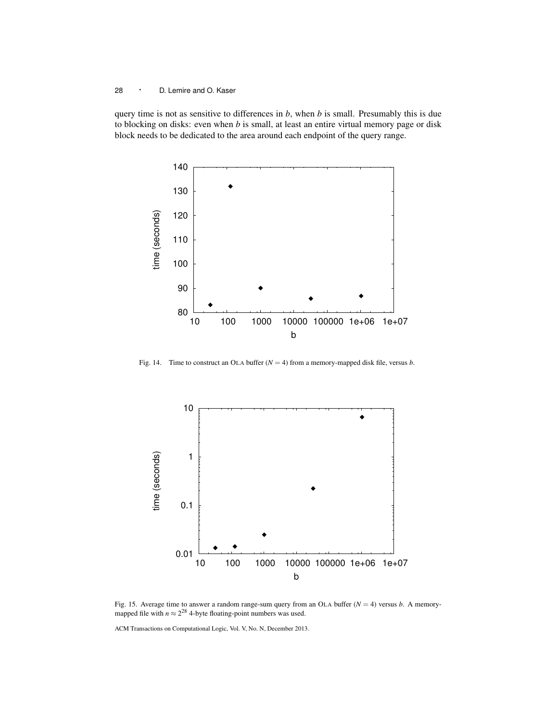query time is not as sensitive to differences in *b*, when *b* is small. Presumably this is due to blocking on disks: even when *b* is small, at least an entire virtual memory page or disk block needs to be dedicated to the area around each endpoint of the query range.



Fig. 14. Time to construct an OLA buffer  $(N = 4)$  from a memory-mapped disk file, versus *b*.



Fig. 15. Average time to answer a random range-sum query from an OLA buffer  $(N = 4)$  versus *b*. A memorymapped file with  $n \approx 2^{28}$  4-byte floating-point numbers was used.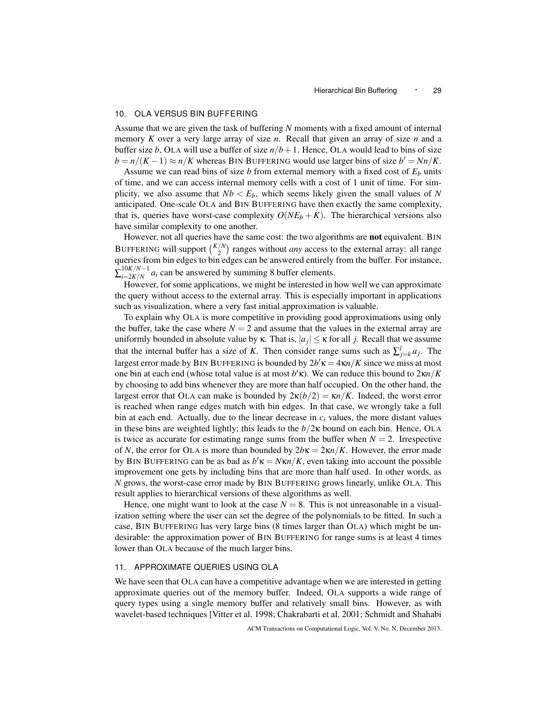# 10. OLA VERSUS BIN BUFFERING

Assume that we are given the task of buffering *N* moments with a fixed amount of internal memory *K* over a very large array of size *n*. Recall that given an array of size *n* and a buffer size *b*, OLA will use a buffer of size  $n/b + 1$ . Hence, OLA would lead to bins of size  $b = n/(K-1) \approx n/K$  whereas BIN BUFFERING would use larger bins of size  $b' = Nn/K$ .

Assume we can read bins of size *b* from external memory with a fixed cost of  $E<sub>b</sub>$  units of time, and we can access internal memory cells with a cost of 1 unit of time. For simplicity, we also assume that  $Nb < E_b$ , which seems likely given the small values of N anticipated. One-scale OLA and BIN BUFFERING have then exactly the same complexity, that is, queries have worst-case complexity  $O(NE_b + K)$ . The hierarchical versions also have similar complexity to one another.

However, not all queries have the same cost: the two algorithms are **not** equivalent. BIN BUFFERING will support  $\binom{K/N}{2}$  ranges without *any* access to the external array: all range queries from bin edges to bin edges can be answered entirely from the buffer. For instance,  $\sum_{i=2K/N}^{10K/N-1}$  $\frac{10K}{N-1}a_i$  can be answered by summing 8 buffer elements.

However, for some applications, we might be interested in how well we can approximate the query without access to the external array. This is especially important in applications such as visualization, where a very fast initial approximation is valuable.

To explain why OLA is more competitive in providing good approximations using only the buffer, take the case where  $N = 2$  and assume that the values in the external array are uniformly bounded in absolute value by  $\kappa$ . That is,  $|a_j| \leq \kappa$  for all *j*. Recall that we assume that the internal buffer has a size of *K*. Then consider range sums such as  $\sum_{j=k}^{l} a_j$ . The largest error made by BIN BUFFERING is bounded by  $2b'\kappa = 4\kappa n/K$  since we miss at most one bin at each end (whose total value is at most  $b'$ **K**). We can reduce this bound to  $2\kappa n/K$ by choosing to add bins whenever they are more than half occupied. On the other hand, the largest error that OLA can make is bounded by  $2\kappa(b/2) = \kappa n/K$ . Indeed, the worst error is reached when range edges match with bin edges. In that case, we wrongly take a full bin at each end. Actually, due to the linear decrease in  $c_i$  values, the more distant values in these bins are weighted lightly; this leads to the  $b/2\kappa$  bound on each bin. Hence, OLA is twice as accurate for estimating range sums from the buffer when  $N = 2$ . Irrespective of *N*, the error for OLA is more than bounded by  $2b\kappa = 2\kappa n/K$ . However, the error made by BIN BUFFERING can be as bad as  $b' \kappa = N \kappa n / K$ , even taking into account the possible improvement one gets by including bins that are more than half used. In other words, as *N* grows, the worst-case error made by BIN BUFFERING grows linearly, unlike OLA. This result applies to hierarchical versions of these algorithms as well.

Hence, one might want to look at the case  $N = 8$ . This is not unreasonable in a visualization setting where the user can set the degree of the polynomials to be fitted. In such a case, BIN BUFFERING has very large bins (8 times larger than OLA) which might be undesirable: the approximation power of BIN BUFFERING for range sums is at least 4 times lower than OLA because of the much larger bins.

#### 11. APPROXIMATE QUERIES USING OLA

We have seen that OLA can have a competitive advantage when we are interested in getting approximate queries out of the memory buffer. Indeed, OLA supports a wide range of query types using a single memory buffer and relatively small bins. However, as with wavelet-based techniques [Vitter et al. 1998; Chakrabarti et al. 2001; Schmidt and Shahabi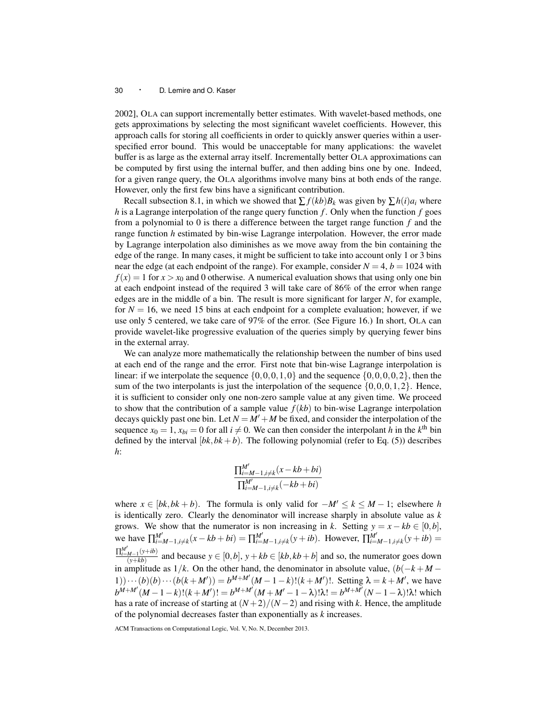2002], OLA can support incrementally better estimates. With wavelet-based methods, one gets approximations by selecting the most significant wavelet coefficients. However, this approach calls for storing all coefficients in order to quickly answer queries within a userspecified error bound. This would be unacceptable for many applications: the wavelet buffer is as large as the external array itself. Incrementally better OLA approximations can be computed by first using the internal buffer, and then adding bins one by one. Indeed, for a given range query, the OLA algorithms involve many bins at both ends of the range. However, only the first few bins have a significant contribution.

Recall subsection 8.1, in which we showed that  $\sum f(kb)B_k$  was given by  $\sum h(i)a_i$  where *h* is a Lagrange interpolation of the range query function *f* . Only when the function *f* goes from a polynomial to 0 is there a difference between the target range function *f* and the range function *h* estimated by bin-wise Lagrange interpolation. However, the error made by Lagrange interpolation also diminishes as we move away from the bin containing the edge of the range. In many cases, it might be sufficient to take into account only 1 or 3 bins near the edge (at each endpoint of the range). For example, consider  $N = 4$ ,  $b = 1024$  with  $f(x) = 1$  for  $x > x_0$  and 0 otherwise. A numerical evaluation shows that using only one bin at each endpoint instead of the required 3 will take care of 86% of the error when range edges are in the middle of a bin. The result is more significant for larger *N*, for example, for  $N = 16$ , we need 15 bins at each endpoint for a complete evaluation; however, if we use only 5 centered, we take care of 97% of the error. (See Figure 16.) In short, OLA can provide wavelet-like progressive evaluation of the queries simply by querying fewer bins in the external array.

We can analyze more mathematically the relationship between the number of bins used at each end of the range and the error. First note that bin-wise Lagrange interpolation is linear: if we interpolate the sequence  $\{0,0,0,1,0\}$  and the sequence  $\{0,0,0,0,2\}$ , then the sum of the two interpolants is just the interpolation of the sequence  $\{0,0,0,1,2\}$ . Hence, it is sufficient to consider only one non-zero sample value at any given time. We proceed to show that the contribution of a sample value  $f(kb)$  to bin-wise Lagrange interpolation decays quickly past one bin. Let  $N = M' + M$  be fixed, and consider the interpolation of the sequence  $x_0 = 1$ ,  $x_{bi} = 0$  for all  $i \neq 0$ . We can then consider the interpolant *h* in the *k*<sup>th</sup> bin defined by the interval  $[bk, bk + b)$ . The following polynomial (refer to Eq. (5)) describes *h*:

$$
\frac{\prod_{i=M-1,i\neq k}^{M'}(x-kb+bi)}{\prod_{i=M-1,i\neq k}^{M'}(-kb+bi)}
$$

where  $x \in [bk, bk + b)$ . The formula is only valid for  $-M' \le k \le M - 1$ ; elsewhere *h* is identically zero. Clearly the denominator will increase sharply in absolute value as *k* grows. We show that the numerator is non increasing in *k*. Setting  $y = x - kb \in [0, b]$ , we have  $\prod_{i=M-1, i\neq k}^{M'} (x - kb + bi) = \prod_{i=M-1, i\neq k}^{M'} (y + ib)$ . However,  $\prod_{i=M-1, i\neq k}^{M'} (y + ib) =$  $\prod_{i=M-1}^{M'}(y+ib)$  $\frac{(y+kb)}{(y+kb)}$  and because  $y \in [0,b]$ ,  $y + kb \in [kb, kb + b]$  and so, the numerator goes down in amplitude as  $1/k$ . On the other hand, the denominator in absolute value,  $(b(-k + M -$ 1))  $\cdots$  (*b*)(*b*)  $\cdots$  (*b*(*k* + *M'*)) = *b*<sup>*M*+*M'*</sup>(*M* − 1 − *k*)!(*k* + *M'*)!. Setting  $\lambda = k + M'$ , we have  $b^{M+M'}(M-1-k)!(k+M')! = b^{M+M'}(M+M'-1-\lambda)!\lambda! = b^{M+M'}(N-1-\lambda)!\lambda!$  which has a rate of increase of starting at  $(N+2)/(N-2)$  and rising with k. Hence, the amplitude of the polynomial decreases faster than exponentially as *k* increases.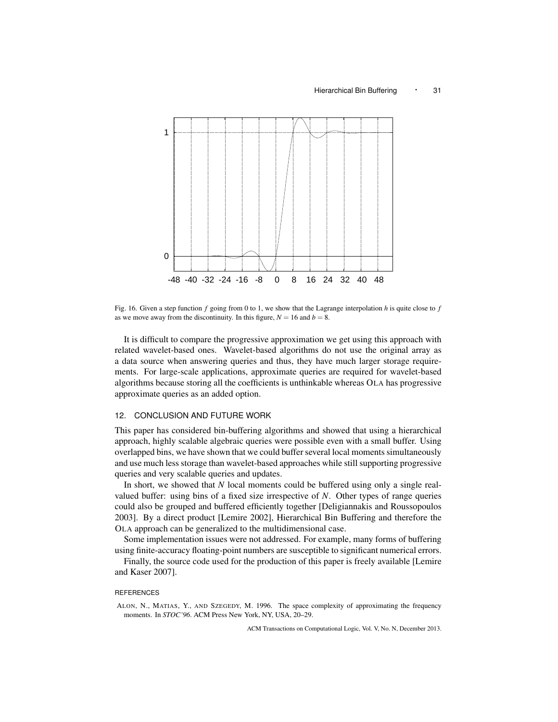

Fig. 16. Given a step function *f* going from 0 to 1, we show that the Lagrange interpolation *h* is quite close to *f* as we move away from the discontinuity. In this figure,  $N = 16$  and  $b = 8$ .

It is difficult to compare the progressive approximation we get using this approach with related wavelet-based ones. Wavelet-based algorithms do not use the original array as a data source when answering queries and thus, they have much larger storage requirements. For large-scale applications, approximate queries are required for wavelet-based algorithms because storing all the coefficients is unthinkable whereas OLA has progressive approximate queries as an added option.

# 12. CONCLUSION AND FUTURE WORK

This paper has considered bin-buffering algorithms and showed that using a hierarchical approach, highly scalable algebraic queries were possible even with a small buffer. Using overlapped bins, we have shown that we could buffer several local moments simultaneously and use much less storage than wavelet-based approaches while still supporting progressive queries and very scalable queries and updates.

In short, we showed that *N* local moments could be buffered using only a single realvalued buffer: using bins of a fixed size irrespective of *N*. Other types of range queries could also be grouped and buffered efficiently together [Deligiannakis and Roussopoulos 2003]. By a direct product [Lemire 2002], Hierarchical Bin Buffering and therefore the OLA approach can be generalized to the multidimensional case.

Some implementation issues were not addressed. For example, many forms of buffering using finite-accuracy floating-point numbers are susceptible to significant numerical errors.

Finally, the source code used for the production of this paper is freely available [Lemire and Kaser 2007].

# **REFERENCES**

ALON, N., MATIAS, Y., AND SZEGEDY, M. 1996. The space complexity of approximating the frequency moments. In *STOC'96*. ACM Press New York, NY, USA, 20–29.